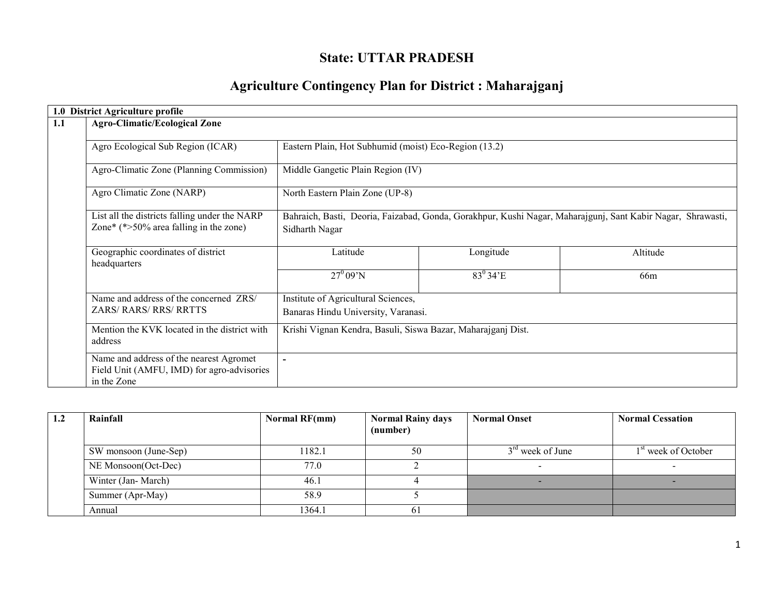# State: UTTAR PRADESH

# Agriculture Contingency Plan for District : Maharajganj

|                                                         | 1.0 District Agriculture profile                                                                     |                                                                                                                               |                        |                 |  |  |  |  |
|---------------------------------------------------------|------------------------------------------------------------------------------------------------------|-------------------------------------------------------------------------------------------------------------------------------|------------------------|-----------------|--|--|--|--|
| 1.1                                                     | <b>Agro-Climatic/Ecological Zone</b>                                                                 |                                                                                                                               |                        |                 |  |  |  |  |
|                                                         | Agro Ecological Sub Region (ICAR)                                                                    | Eastern Plain, Hot Subhumid (moist) Eco-Region (13.2)                                                                         |                        |                 |  |  |  |  |
|                                                         | Agro-Climatic Zone (Planning Commission)                                                             | Middle Gangetic Plain Region (IV)                                                                                             |                        |                 |  |  |  |  |
|                                                         | Agro Climatic Zone (NARP)                                                                            | North Eastern Plain Zone (UP-8)                                                                                               |                        |                 |  |  |  |  |
|                                                         | List all the districts falling under the NARP<br>Zone* (*>50% area falling in the zone)              | Bahraich, Basti, Deoria, Faizabad, Gonda, Gorakhpur, Kushi Nagar, Maharajgunj, Sant Kabir Nagar, Shrawasti,<br>Sidharth Nagar |                        |                 |  |  |  |  |
|                                                         | Geographic coordinates of district<br>headquarters                                                   | Latitude                                                                                                                      | Longitude              | Altitude        |  |  |  |  |
|                                                         |                                                                                                      | $27^0 09' N$                                                                                                                  | $83^0 34$ <sup>E</sup> | 66 <sub>m</sub> |  |  |  |  |
|                                                         | Name and address of the concerned ZRS/<br><b>ZARS/ RARS/ RRS/ RRTTS</b>                              | Institute of Agricultural Sciences,<br>Banaras Hindu University, Varanasi.                                                    |                        |                 |  |  |  |  |
| Mention the KVK located in the district with<br>address |                                                                                                      | Krishi Vignan Kendra, Basuli, Siswa Bazar, Maharajganj Dist.                                                                  |                        |                 |  |  |  |  |
|                                                         | Name and address of the nearest Agromet<br>Field Unit (AMFU, IMD) for agro-advisories<br>in the Zone | $\overline{\phantom{a}}$                                                                                                      |                        |                 |  |  |  |  |

| 1.2 | Rainfall              | Normal RF(mm) | <b>Normal Rainy days</b><br>(number) | <b>Normal Onset</b> | <b>Normal Cessation</b>         |
|-----|-----------------------|---------------|--------------------------------------|---------------------|---------------------------------|
|     | SW monsoon (June-Sep) | 182.1         | 50                                   | $3rd$ week of June  | 1 <sup>st</sup> week of October |
|     | NE Monsoon(Oct-Dec)   | 77.0          |                                      |                     |                                 |
|     | Winter (Jan-March)    | 46.1          |                                      |                     |                                 |
|     | Summer (Apr-May)      | 58.9          |                                      |                     |                                 |
|     | Annual                | 1364.1        | 61                                   |                     |                                 |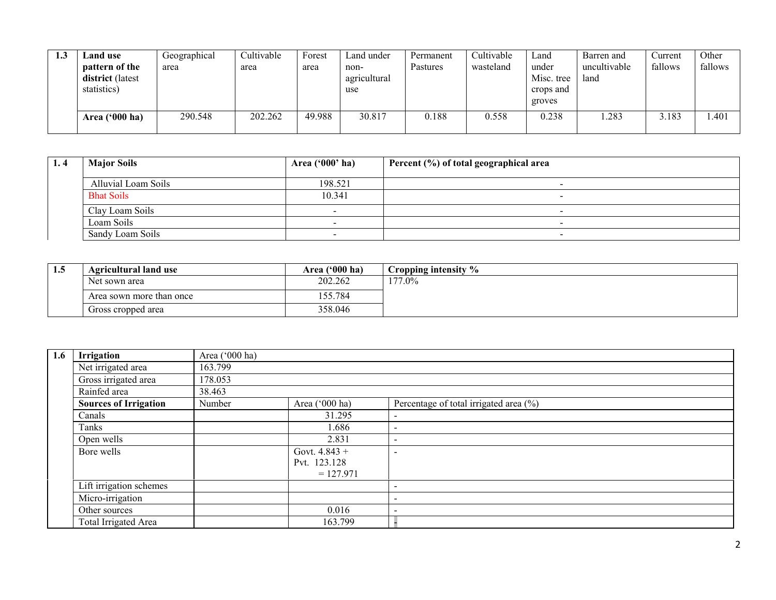| 1.3 | ∟and use<br>pattern of the<br>district (latest<br>statistics) | Geographical<br>area | Cultivable<br>area | Forest<br>area | Land under<br>non-<br>agricultural<br>use | Permanent<br>Pastures | Cultivable<br>wasteland | Land<br>under<br>Misc. tree<br>crops and<br>groves | Barren and<br>uncultivable<br>land | Current<br>fallows | Other<br>fallows |
|-----|---------------------------------------------------------------|----------------------|--------------------|----------------|-------------------------------------------|-----------------------|-------------------------|----------------------------------------------------|------------------------------------|--------------------|------------------|
|     | Area $('000 ha)$                                              | 290.548              | 202.262            | 49.988         | 30.817                                    | 0.188                 | 0.558                   | 0.238                                              | .283                               | 3.183              | 1.401            |

| 1.4 | <b>Major Soils</b>  | Area $('000'$ ha) | Percent (%) of total geographical area |
|-----|---------------------|-------------------|----------------------------------------|
|     | Alluvial Loam Soils | 198.521           |                                        |
|     | <b>Bhat Soils</b>   | 10.341            |                                        |
|     | Clay Loam Soils     |                   | -                                      |
|     | Loam Soils          |                   | -                                      |
|     | Sandy Loam Soils    |                   | -                                      |

| L.J | <b>Agricultural land use</b> | Area ('000 ha) | Cropping intensity % |
|-----|------------------------------|----------------|----------------------|
|     | Net sown area                | 202.262        | $177.0\%$            |
|     | Area sown more than once     | 55.784         |                      |
|     | Gross cropped area           | 358.046        |                      |

| 1.6 | Irrigation                   | Area ('000 ha) |                 |                                        |
|-----|------------------------------|----------------|-----------------|----------------------------------------|
|     | Net irrigated area           | 163.799        |                 |                                        |
|     | Gross irrigated area         | 178.053        |                 |                                        |
|     | Rainfed area                 | 38.463         |                 |                                        |
|     | <b>Sources of Irrigation</b> | Number         | Area ('000 ha)  | Percentage of total irrigated area (%) |
|     | Canals                       |                | 31.295          |                                        |
|     | Tanks                        |                | 1.686           | $\overline{\phantom{a}}$               |
|     | Open wells                   |                | 2.831           | $\overline{\phantom{a}}$               |
|     | Bore wells                   |                | Govt. $4.843 +$ |                                        |
|     |                              |                | Pvt. 123.128    |                                        |
|     |                              |                | $= 127.971$     |                                        |
|     | Lift irrigation schemes      |                |                 |                                        |
|     | Micro-irrigation             |                |                 |                                        |
|     | Other sources                |                | 0.016           |                                        |
|     | Total Irrigated Area         |                | 163.799         |                                        |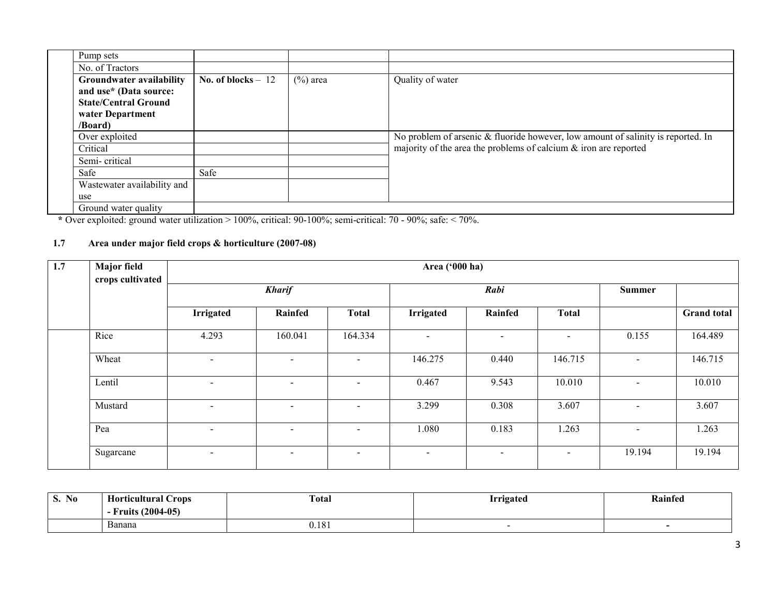| Pump sets                       |                     |             |                                                                                  |
|---------------------------------|---------------------|-------------|----------------------------------------------------------------------------------|
| No. of Tractors                 |                     |             |                                                                                  |
| <b>Groundwater availability</b> | No. of blocks $-12$ | $(\%)$ area | Quality of water                                                                 |
| and use* (Data source:          |                     |             |                                                                                  |
| <b>State/Central Ground</b>     |                     |             |                                                                                  |
| water Department                |                     |             |                                                                                  |
| /Board)                         |                     |             |                                                                                  |
| Over exploited                  |                     |             | No problem of arsenic & fluoride however, low amount of salinity is reported. In |
| Critical                        |                     |             | majority of the area the problems of calcium $\&$ iron are reported              |
| Semi-critical                   |                     |             |                                                                                  |
| Safe                            | Safe                |             |                                                                                  |
| Wastewater availability and     |                     |             |                                                                                  |
| use                             |                     |             |                                                                                  |
| Ground water quality            |                     |             |                                                                                  |

\* Over exploited: ground water utilization > 100%, critical: 90-100%; semi-critical: 70 - 90%; safe: < 70%.

#### 1.7 Area under major field crops & horticulture (2007-08)

| 1.7 | <b>Major</b> field | Area ('000 ha)<br>crops cultivated |                          |                          |                |                          |                          |                          |                    |
|-----|--------------------|------------------------------------|--------------------------|--------------------------|----------------|--------------------------|--------------------------|--------------------------|--------------------|
|     |                    |                                    | <b>Kharif</b>            |                          |                | Rabi                     |                          | Summer                   |                    |
|     |                    | <b>Irrigated</b>                   | Rainfed                  | <b>Total</b>             | Irrigated      | Rainfed                  | <b>Total</b>             |                          | <b>Grand</b> total |
|     | Rice               | 4.293                              | 160.041                  | 164.334                  | $\blacksquare$ | $\overline{\phantom{0}}$ | $\overline{\phantom{a}}$ | 0.155                    | 164.489            |
|     | Wheat              | $\overline{\phantom{a}}$           | $\overline{\phantom{a}}$ | $\overline{\phantom{0}}$ | 146.275        | 0.440                    | 146.715                  | $\overline{\phantom{a}}$ | 146.715            |
|     | Lentil             | $\overline{\phantom{a}}$           | $\overline{\phantom{a}}$ | $\overline{a}$           | 0.467          | 9.543                    | 10.010                   |                          | 10.010             |
|     | Mustard            | $\overline{\phantom{a}}$           | $\overline{\phantom{a}}$ | $\overline{\phantom{a}}$ | 3.299          | 0.308                    | 3.607                    | $\overline{\phantom{a}}$ | 3.607              |
|     | Pea                | $\overline{\phantom{0}}$           | $\overline{\phantom{a}}$ | $\overline{\phantom{0}}$ | 1.080          | 0.183                    | 1.263                    | $\overline{\phantom{a}}$ | 1.263              |
|     | Sugarcane          | $\overline{\phantom{0}}$           | $\sim$                   | $\overline{\phantom{a}}$ | $\sim$         | $\sim$                   | $\sim$                   | 19.194                   | 19.194             |

| $\mathbf{r}$<br>$\sim$<br><b>S. No</b> | $\mathbf{r}$<br>$\sim$<br>Horticultural<br>∠rops | <b>Total</b> | <b>rrigated</b> | Rainfed |
|----------------------------------------|--------------------------------------------------|--------------|-----------------|---------|
|                                        | $(2004-05)$<br>∀ruits                            |              |                 |         |
|                                        | -<br>Banana                                      | 0.181        |                 |         |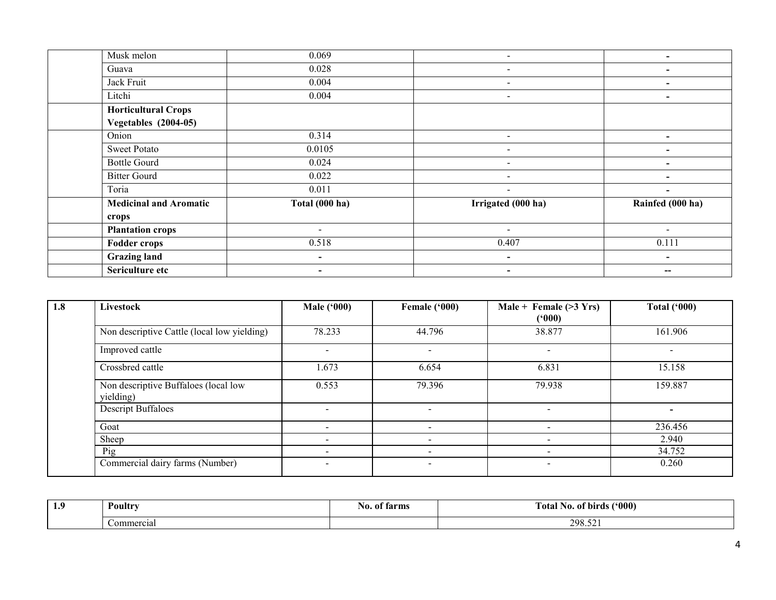| Musk melon                    | 0.069                    | $\sim$                   | $\overline{\phantom{0}}$ |
|-------------------------------|--------------------------|--------------------------|--------------------------|
| Guava                         | 0.028                    |                          |                          |
| Jack Fruit                    | 0.004                    |                          |                          |
| Litchi                        | 0.004                    | $\,$                     | $\overline{\phantom{0}}$ |
| <b>Horticultural Crops</b>    |                          |                          |                          |
| <b>Vegetables</b> (2004-05)   |                          |                          |                          |
| Onion                         | 0.314                    | $\sim$                   | $\overline{\phantom{0}}$ |
| <b>Sweet Potato</b>           | 0.0105                   |                          |                          |
| <b>Bottle Gourd</b>           | 0.024                    |                          |                          |
| <b>Bitter Gourd</b>           | 0.022                    | $\overline{\phantom{a}}$ | $\overline{\phantom{0}}$ |
| Toria                         | 0.011                    | $\sim$                   | $\blacksquare$           |
| <b>Medicinal and Aromatic</b> | Total (000 ha)           | Irrigated (000 ha)       | Rainfed (000 ha)         |
| crops                         |                          |                          |                          |
| <b>Plantation crops</b>       | $\overline{\phantom{0}}$ | $\overline{\phantom{a}}$ | $\overline{\phantom{a}}$ |
| <b>Fodder crops</b>           | 0.518                    | 0.407                    | 0.111                    |
| <b>Grazing land</b>           | $\blacksquare$           | $\blacksquare$           | $\blacksquare$           |
| Sericulture etc               | $\blacksquare$           | $\overline{\phantom{a}}$ | --                       |

| 1.8 | Livestock                                         | <b>Male ('000)</b>       | Female ('000)            | Male + Female $(>3 Yrs)$<br>(*000) | Total $(900)$ |
|-----|---------------------------------------------------|--------------------------|--------------------------|------------------------------------|---------------|
|     | Non descriptive Cattle (local low yielding)       | 78.233                   | 44.796                   | 38.877                             | 161.906       |
|     | Improved cattle                                   | $\overline{\phantom{a}}$ |                          |                                    |               |
|     | Crossbred cattle                                  | 1.673                    | 6.654                    | 6.831                              | 15.158        |
|     | Non descriptive Buffaloes (local low<br>yielding) | 0.553                    | 79.396                   | 79.938                             | 159.887       |
|     | <b>Descript Buffaloes</b>                         | $\overline{\phantom{a}}$ |                          |                                    |               |
|     | Goat                                              | $\overline{\phantom{a}}$ |                          |                                    | 236.456       |
|     | Sheep                                             | ۰.                       |                          |                                    | 2.940         |
|     | Pig                                               | $\overline{\phantom{a}}$ |                          |                                    | 34.752        |
|     | Commercial dairy farms (Number)                   | $\overline{\phantom{0}}$ | $\overline{\phantom{0}}$ |                                    | 0.260         |

| 1 O<br><b>1.</b> | Poultry    | tarms<br>NО.<br>$\mathbf{u}$ | (500)<br>No. of birds<br>Fotal |
|------------------|------------|------------------------------|--------------------------------|
|                  | Commercial |                              | 298.52                         |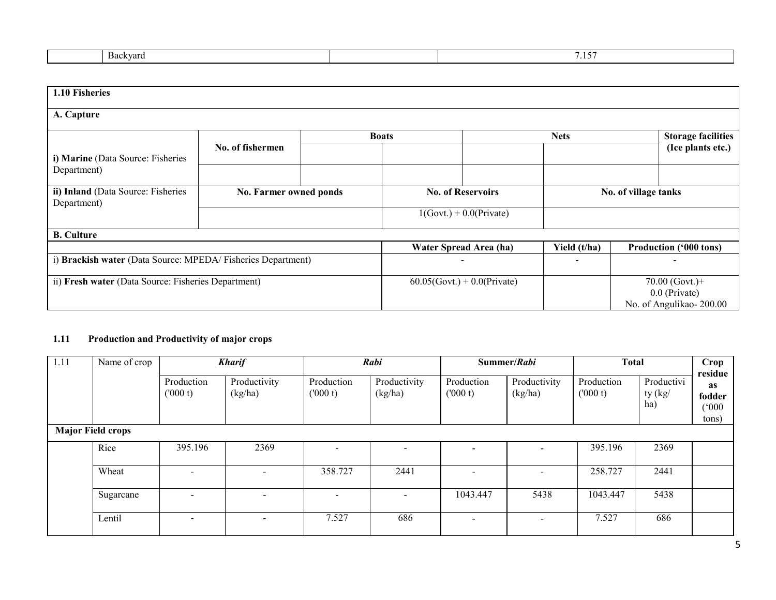| sackvard | - - -- |
|----------|--------|
|          | .      |
|          |        |

| 1.10 Fisheries                                               |                        |  |              |                                |              |                                          |
|--------------------------------------------------------------|------------------------|--|--------------|--------------------------------|--------------|------------------------------------------|
| A. Capture                                                   |                        |  |              |                                |              |                                          |
|                                                              |                        |  | <b>Boats</b> |                                | <b>Nets</b>  | <b>Storage facilities</b>                |
| i) Marine (Data Source: Fisheries                            | No. of fishermen       |  |              |                                |              | (Ice plants etc.)                        |
| Department)                                                  |                        |  |              |                                |              |                                          |
| ii) Inland (Data Source: Fisheries                           | No. Farmer owned ponds |  |              | <b>No. of Reservoirs</b>       |              | No. of village tanks                     |
| Department)                                                  |                        |  |              | $1(Govt.) + 0.0(Private)$      |              |                                          |
| <b>B.</b> Culture                                            |                        |  |              |                                |              |                                          |
|                                                              |                        |  |              | Water Spread Area (ha)         | Yield (t/ha) | Production ('000 tons)                   |
| i) Brackish water (Data Source: MPEDA/ Fisheries Department) |                        |  |              |                                |              |                                          |
| ii) Fresh water (Data Source: Fisheries Department)          |                        |  |              | $60.05$ (Govt.) + 0.0(Private) |              | $70.00$ (Govt.)+                         |
|                                                              |                        |  |              |                                |              | 0.0 (Private)<br>No. of Angulikao-200.00 |

#### 1.11 Production and Productivity of major crops

| 1.11 | Name of crop<br><b>Kharif</b> |                       |                          | Rabi<br>Summer/Rabi      |                          |                          | <b>Total</b>            |                       | Crop<br>residue                |                                       |
|------|-------------------------------|-----------------------|--------------------------|--------------------------|--------------------------|--------------------------|-------------------------|-----------------------|--------------------------------|---------------------------------------|
|      |                               | Production<br>(000 t) | Productivity<br>(kg/ha)  | Production<br>(000 t)    | Productivity<br>(kg/ha)  | Production<br>(000 t)    | Productivity<br>(kg/ha) | Production<br>(000 t) | Productivi<br>ty $(kg)$<br>ha) | <b>as</b><br>fodder<br>(000)<br>tons) |
|      | <b>Major Field crops</b>      |                       |                          |                          |                          |                          |                         |                       |                                |                                       |
|      | Rice                          | 395.196               | 2369                     |                          | -                        |                          |                         | 395.196               | 2369                           |                                       |
|      | Wheat                         |                       |                          | 358.727                  | 2441                     |                          |                         | 258.727               | 2441                           |                                       |
|      | Sugarcane                     |                       |                          | $\overline{\phantom{0}}$ | $\overline{\phantom{0}}$ | 1043.447                 | 5438                    | 1043.447              | 5438                           |                                       |
|      | Lentil                        |                       | $\overline{\phantom{0}}$ | 7.527                    | 686                      | $\overline{\phantom{a}}$ | $\sim$                  | 7.527                 | 686                            |                                       |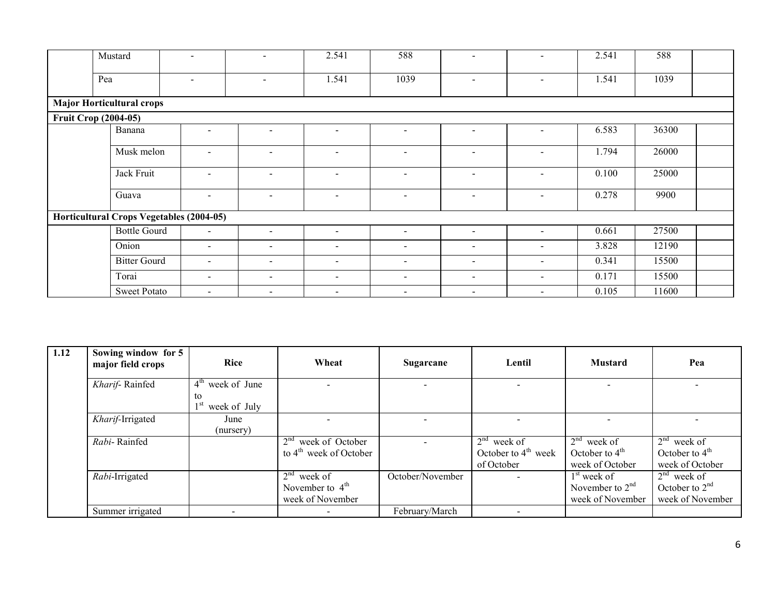| Mustard                                  | $\sim$                   | $\blacksquare$           | 2.541                    | 588                      | $\sim$                   | $\overline{\phantom{0}}$ | 2.541 | 588   |  |
|------------------------------------------|--------------------------|--------------------------|--------------------------|--------------------------|--------------------------|--------------------------|-------|-------|--|
| Pea                                      | $\blacksquare$           | $\sim$                   | 1.541                    | 1039                     | $\sim$                   | ۰.                       | 1.541 | 1039  |  |
| <b>Major Horticultural crops</b>         |                          |                          |                          |                          |                          |                          |       |       |  |
| <b>Fruit Crop (2004-05)</b>              |                          |                          |                          |                          |                          |                          |       |       |  |
| Banana                                   | $\overline{\phantom{0}}$ | $\overline{\phantom{a}}$ | $\overline{\phantom{0}}$ | $\overline{\phantom{a}}$ | $\sim$                   | Ξ.                       | 6.583 | 36300 |  |
| Musk melon                               | $\sim$                   | $\sim$                   | $\sim$                   | $\sim$                   | $\sim$                   | $\overline{\phantom{0}}$ | 1.794 | 26000 |  |
| Jack Fruit                               |                          | $\blacksquare$           | $\overline{\phantom{0}}$ | $\overline{\phantom{a}}$ | $\overline{\phantom{a}}$ | Ξ.                       | 0.100 | 25000 |  |
| Guava                                    | $\sim$                   | $\sim$                   | $\sim$                   | $\sim$                   | $\sim$                   | $\sim$                   | 0.278 | 9900  |  |
| Horticultural Crops Vegetables (2004-05) |                          |                          |                          |                          |                          |                          |       |       |  |
| <b>Bottle Gourd</b>                      | $\sim$                   | $\sim$                   | $\sim$                   | $\sim$                   | $\sim$                   | Ξ.                       | 0.661 | 27500 |  |
| Onion                                    | $\overline{\phantom{a}}$ | $\sim$                   | $\overline{\phantom{a}}$ | $\overline{\phantom{a}}$ | $\sim$                   | $\overline{\phantom{0}}$ | 3.828 | 12190 |  |
| <b>Bitter Gourd</b>                      | $\overline{\phantom{a}}$ | $\sim$                   | $\overline{\phantom{a}}$ | $\sim$                   | $\sim$                   | $\overline{\phantom{0}}$ | 0.341 | 15500 |  |
| Torai                                    | $\sim$                   | $\sim$                   | $\overline{\phantom{a}}$ | $\sim$                   | $\sim$                   | Ξ.                       | 0.171 | 15500 |  |
| <b>Sweet Potato</b>                      | $\sim$                   | $\blacksquare$           | $\sim$                   | $\sim$                   | $\sim$                   | $\overline{\phantom{0}}$ | 0.105 | 11600 |  |

| 1.12 | Sowing window for 5<br>major field crops | Rice               | Wheat                              | Sugarcane        | Lentil                | <b>Mustard</b>          | Pea              |
|------|------------------------------------------|--------------------|------------------------------------|------------------|-----------------------|-------------------------|------------------|
|      | Kharif-Rainfed                           | $4th$ week of June |                                    |                  |                       |                         |                  |
|      |                                          | to<br>week of July |                                    |                  |                       |                         |                  |
|      | Kharif-Irrigated                         | June               |                                    |                  |                       |                         |                  |
|      |                                          | (nursery)          |                                    |                  |                       |                         |                  |
|      | Rabi-Rainfed                             |                    | $2nd$ week of October              |                  | $2nd$ week of         | $\sqrt{2^{nd}}$ week of | $2nd$ week of    |
|      |                                          |                    | to $4^{\text{th}}$ week of October |                  | October to $4th$ week | October to $4th$        | October to $4th$ |
|      |                                          |                    |                                    |                  | of October            | week of October         | week of October  |
|      | Rabi-Irrigated                           |                    | $2nd$ week of                      | October/November |                       | $1st$ week of           | $2nd$ week of    |
|      |                                          |                    | November to $4th$                  |                  |                       | November to $2nd$       | October to $2nd$ |
|      |                                          |                    | week of November                   |                  |                       | week of November        | week of November |
|      | Summer irrigated                         |                    |                                    | February/March   |                       |                         |                  |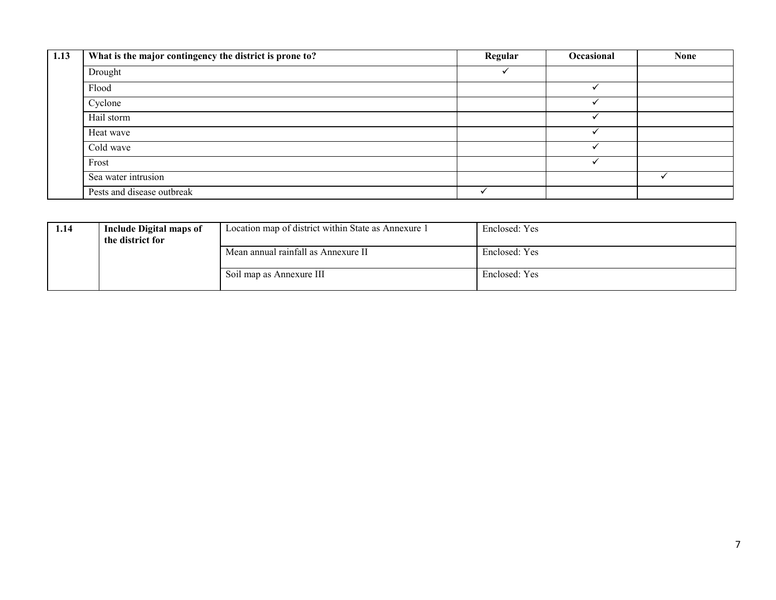| 1.13 | What is the major contingency the district is prone to? | Regular | Occasional | <b>None</b> |
|------|---------------------------------------------------------|---------|------------|-------------|
|      | Drought                                                 |         |            |             |
|      | Flood                                                   |         |            |             |
|      | Cyclone                                                 |         |            |             |
|      | Hail storm                                              |         |            |             |
|      | Heat wave                                               |         |            |             |
|      | Cold wave                                               |         |            |             |
|      | Frost                                                   |         |            |             |
|      | Sea water intrusion                                     |         |            |             |
|      | Pests and disease outbreak                              |         |            |             |

| 1.14 | Include Digital maps of<br>the district for | Location map of district within State as Annexure 1 | Enclosed: Yes |
|------|---------------------------------------------|-----------------------------------------------------|---------------|
|      |                                             | Mean annual rainfall as Annexure II                 | Enclosed: Yes |
|      |                                             | Soil map as Annexure III                            | Enclosed: Yes |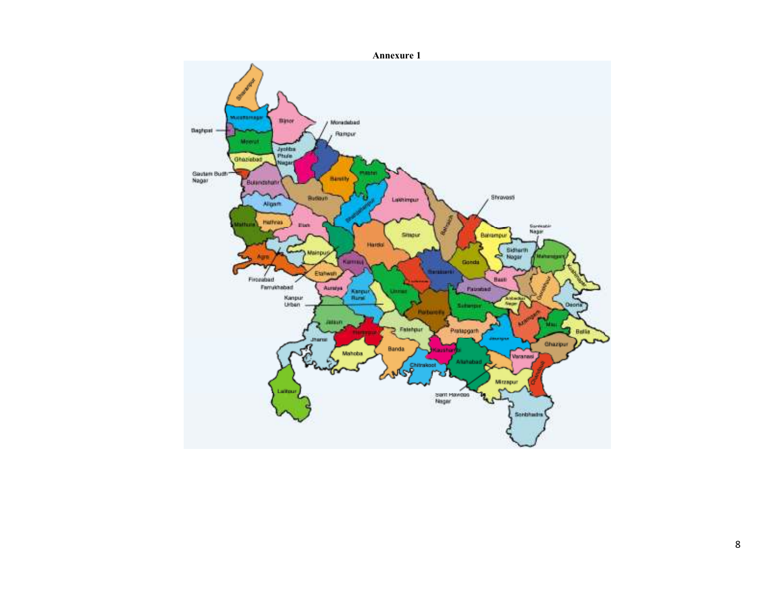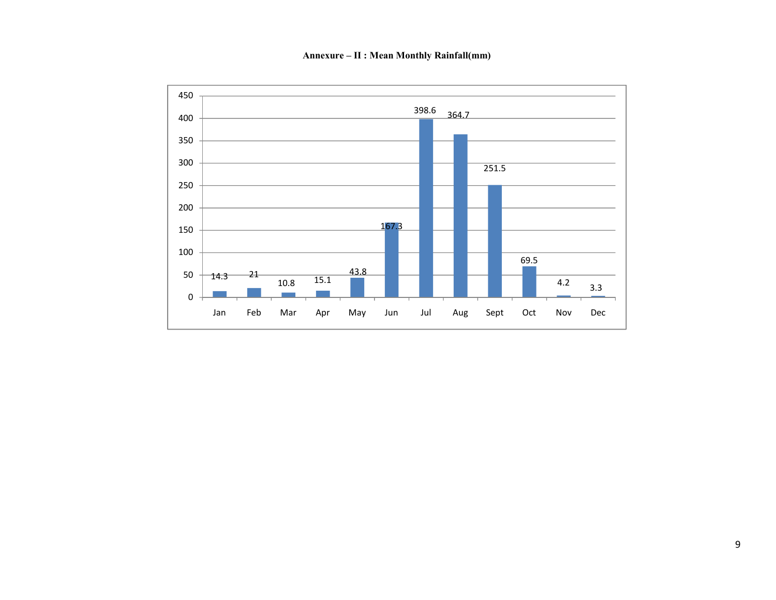Annexure – II : Mean Monthly Rainfall(mm)

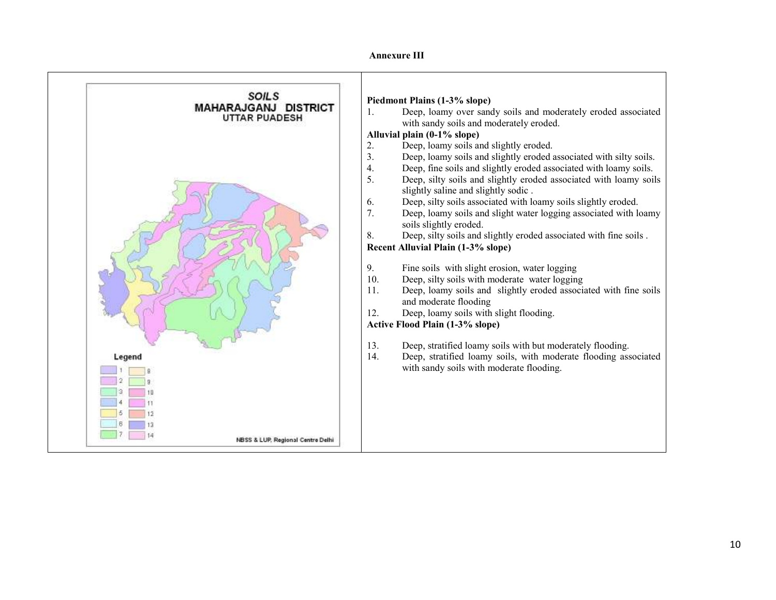#### Annexure III

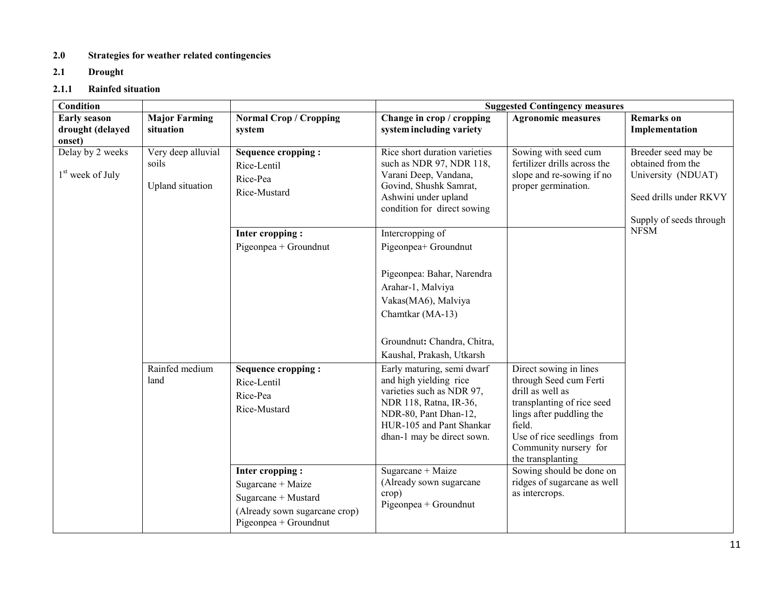## 2.0 Strategies for weather related contingencies

2.1 Drought

#### 2.1.1 Rainfed situation

| <b>Condition</b>                                  |                                                 |                                                                                                                       | <b>Suggested Contingency measures</b>                                                                                                                                                              |                                                                                                                                                                                                                      |                                                                                                                     |  |  |
|---------------------------------------------------|-------------------------------------------------|-----------------------------------------------------------------------------------------------------------------------|----------------------------------------------------------------------------------------------------------------------------------------------------------------------------------------------------|----------------------------------------------------------------------------------------------------------------------------------------------------------------------------------------------------------------------|---------------------------------------------------------------------------------------------------------------------|--|--|
| <b>Early season</b><br>drought (delayed<br>onset) | <b>Major Farming</b><br>situation               | <b>Normal Crop / Cropping</b><br>system                                                                               | Change in crop / cropping<br>system including variety                                                                                                                                              | <b>Agronomic measures</b>                                                                                                                                                                                            | <b>Remarks</b> on<br>Implementation                                                                                 |  |  |
| Delay by 2 weeks<br>$1st$ week of July            | Very deep alluvial<br>soils<br>Upland situation | <b>Sequence cropping:</b><br>Rice-Lentil<br>Rice-Pea<br>Rice-Mustard                                                  | Rice short duration varieties<br>such as NDR 97, NDR 118,<br>Varani Deep, Vandana,<br>Govind, Shushk Samrat,<br>Ashwini under upland<br>condition for direct sowing                                | Sowing with seed cum<br>fertilizer drills across the<br>slope and re-sowing if no<br>proper germination.                                                                                                             | Breeder seed may be<br>obtained from the<br>University (NDUAT)<br>Seed drills under RKVY<br>Supply of seeds through |  |  |
|                                                   |                                                 | Inter cropping:<br>Pigeonpea + Groundnut                                                                              | Intercropping of<br>Pigeonpea+ Groundnut<br>Pigeonpea: Bahar, Narendra<br>Arahar-1, Malviya<br>Vakas(MA6), Malviya<br>Chamtkar (MA-13)<br>Groundnut: Chandra, Chitra,<br>Kaushal, Prakash, Utkarsh |                                                                                                                                                                                                                      | <b>NFSM</b>                                                                                                         |  |  |
|                                                   | Rainfed medium<br>land                          | <b>Sequence cropping:</b><br>Rice-Lentil<br>Rice-Pea<br>Rice-Mustard                                                  | Early maturing, semi dwarf<br>and high yielding rice<br>varieties such as NDR 97,<br>NDR 118, Ratna, IR-36,<br>NDR-80, Pant Dhan-12,<br>HUR-105 and Pant Shankar<br>dhan-1 may be direct sown.     | Direct sowing in lines<br>through Seed cum Ferti<br>drill as well as<br>transplanting of rice seed<br>lings after puddling the<br>field.<br>Use of rice seedlings from<br>Community nursery for<br>the transplanting |                                                                                                                     |  |  |
|                                                   |                                                 | Inter cropping:<br>Sugarcane + Maize<br>Sugarcane + Mustard<br>(Already sown sugarcane crop)<br>Pigeonpea + Groundnut | Sugarcane + Maize<br>(Already sown sugarcane<br>crop)<br>Pigeonpea + Groundnut                                                                                                                     | Sowing should be done on<br>ridges of sugarcane as well<br>as intercrops.                                                                                                                                            |                                                                                                                     |  |  |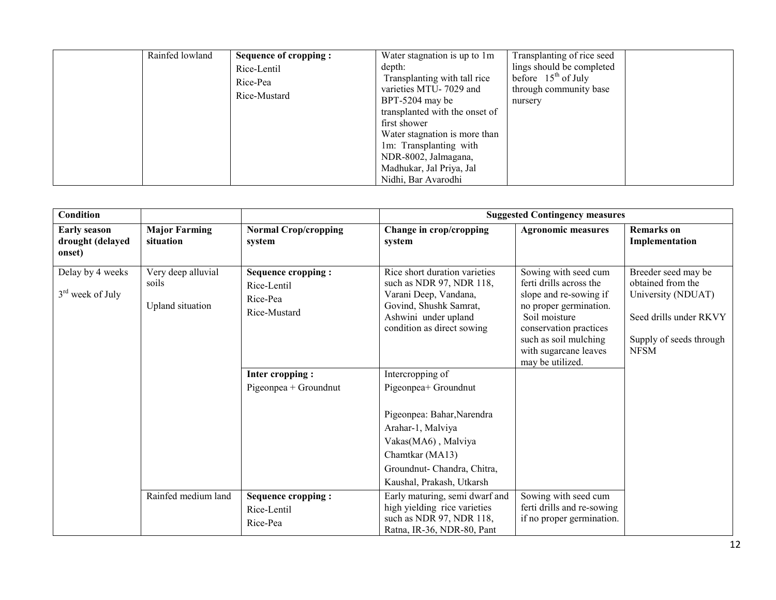|  | Rainfed lowland | Sequence of cropping:<br>Rice-Lentil<br>Rice-Pea<br>Rice-Mustard | Water stagnation is up to 1m<br>depth:<br>Transplanting with tall rice<br>varieties MTU-7029 and<br>BPT-5204 may be<br>transplanted with the onset of<br>first shower<br>Water stagnation is more than<br>1m: Transplanting with<br>NDR-8002, Jalmagana,<br>Madhukar, Jal Priya, Jal<br>Nidhi, Bar Avarodhi | Transplanting of rice seed<br>lings should be completed<br>before $15th$ of July<br>through community base<br>nursery |  |
|--|-----------------|------------------------------------------------------------------|-------------------------------------------------------------------------------------------------------------------------------------------------------------------------------------------------------------------------------------------------------------------------------------------------------------|-----------------------------------------------------------------------------------------------------------------------|--|
|--|-----------------|------------------------------------------------------------------|-------------------------------------------------------------------------------------------------------------------------------------------------------------------------------------------------------------------------------------------------------------------------------------------------------------|-----------------------------------------------------------------------------------------------------------------------|--|

| <b>Condition</b>                                  |                                                 |                                                                      |                                                                                                                                                                                                   | <b>Suggested Contingency measures</b>                                                                                                                                                                                |                                                                                                                                    |
|---------------------------------------------------|-------------------------------------------------|----------------------------------------------------------------------|---------------------------------------------------------------------------------------------------------------------------------------------------------------------------------------------------|----------------------------------------------------------------------------------------------------------------------------------------------------------------------------------------------------------------------|------------------------------------------------------------------------------------------------------------------------------------|
| <b>Early season</b><br>drought (delayed<br>onset) | <b>Major Farming</b><br>situation               | <b>Normal Crop/cropping</b><br>system                                | Change in crop/cropping<br>system                                                                                                                                                                 | <b>Agronomic measures</b>                                                                                                                                                                                            | <b>Remarks</b> on<br>Implementation                                                                                                |
| Delay by 4 weeks<br>$3rd$ week of July            | Very deep alluvial<br>soils<br>Upland situation | <b>Sequence cropping:</b><br>Rice-Lentil<br>Rice-Pea<br>Rice-Mustard | Rice short duration varieties<br>such as NDR 97, NDR 118,<br>Varani Deep, Vandana,<br>Govind, Shushk Samrat,<br>Ashwini under upland<br>condition as direct sowing                                | Sowing with seed cum<br>ferti drills across the<br>slope and re-sowing if<br>no proper germination.<br>Soil moisture<br>conservation practices<br>such as soil mulching<br>with sugarcane leaves<br>may be utilized. | Breeder seed may be<br>obtained from the<br>University (NDUAT)<br>Seed drills under RKVY<br>Supply of seeds through<br><b>NFSM</b> |
|                                                   |                                                 | Inter cropping:<br>$Pigeonpea + Groundnut$                           | Intercropping of<br>Pigeonpea+ Groundnut<br>Pigeonpea: Bahar, Narendra<br>Arahar-1, Malviya<br>Vakas(MA6), Malviya<br>Chamtkar (MA13)<br>Groundnut- Chandra, Chitra,<br>Kaushal, Prakash, Utkarsh |                                                                                                                                                                                                                      |                                                                                                                                    |
|                                                   | Rainfed medium land                             | Sequence cropping :<br>Rice-Lentil<br>Rice-Pea                       | Early maturing, semi dwarf and<br>high yielding rice varieties<br>such as NDR 97, NDR 118,<br>Ratna, IR-36, NDR-80, Pant                                                                          | Sowing with seed cum<br>ferti drills and re-sowing<br>if no proper germination.                                                                                                                                      |                                                                                                                                    |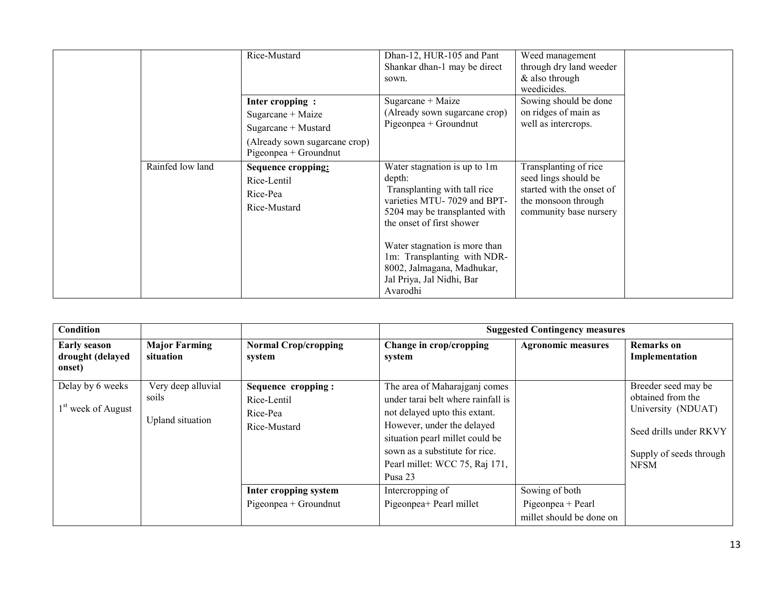|                  | Rice-Mustard                                                                                                          | Dhan-12, HUR-105 and Pant<br>Shankar dhan-1 may be direct<br>sown.                                                                                                                                                                                                                                         | Weed management<br>through dry land weeder<br>& also through<br>weedicides.                                                 |
|------------------|-----------------------------------------------------------------------------------------------------------------------|------------------------------------------------------------------------------------------------------------------------------------------------------------------------------------------------------------------------------------------------------------------------------------------------------------|-----------------------------------------------------------------------------------------------------------------------------|
|                  | Inter cropping:<br>Sugarcane + Maize<br>Sugarcane + Mustard<br>(Already sown sugarcane crop)<br>Pigeonpea + Groundnut | Sugarcane + Maize<br>(Already sown sugarcane crop)<br>$Pigeonpea + Groundnut$                                                                                                                                                                                                                              | Sowing should be done<br>on ridges of main as<br>well as intercrops.                                                        |
| Rainfed low land | Sequence cropping:<br>Rice-Lentil<br>Rice-Pea<br>Rice-Mustard                                                         | Water stagnation is up to 1m<br>depth:<br>Transplanting with tall rice<br>varieties MTU-7029 and BPT-<br>5204 may be transplanted with<br>the onset of first shower<br>Water stagnation is more than<br>1m: Transplanting with NDR-<br>8002, Jalmagana, Madhukar,<br>Jal Priya, Jal Nidhi, Bar<br>Avarodhi | Transplanting of rice<br>seed lings should be<br>started with the onset of<br>the monsoon through<br>community base nursery |

| Condition                                          |                                                 |                                                               |                                                                                                                                                                                                                                                      | <b>Suggested Contingency measures</b>                           |                                                                                                                                    |
|----------------------------------------------------|-------------------------------------------------|---------------------------------------------------------------|------------------------------------------------------------------------------------------------------------------------------------------------------------------------------------------------------------------------------------------------------|-----------------------------------------------------------------|------------------------------------------------------------------------------------------------------------------------------------|
| <b>Early season</b><br>drought (delayed<br>onset)  | <b>Major Farming</b><br>situation               | <b>Normal Crop/cropping</b><br>system                         | Change in crop/cropping<br>system                                                                                                                                                                                                                    | <b>Agronomic measures</b>                                       | <b>Remarks</b> on<br>Implementation                                                                                                |
| Delay by 6 weeks<br>1 <sup>st</sup> week of August | Very deep alluvial<br>soils<br>Upland situation | Sequence cropping:<br>Rice-Lentil<br>Rice-Pea<br>Rice-Mustard | The area of Maharajganj comes<br>under tarai belt where rainfall is<br>not delayed upto this extant.<br>However, under the delayed<br>situation pearl millet could be<br>sown as a substitute for rice.<br>Pearl millet: WCC 75, Raj 171,<br>Pusa 23 |                                                                 | Breeder seed may be<br>obtained from the<br>University (NDUAT)<br>Seed drills under RKVY<br>Supply of seeds through<br><b>NFSM</b> |
|                                                    |                                                 | Inter cropping system<br>Pigeonpea + Groundnut                | Intercropping of<br>Pigeonpea+ Pearl millet                                                                                                                                                                                                          | Sowing of both<br>Pigeonpea + Pearl<br>millet should be done on |                                                                                                                                    |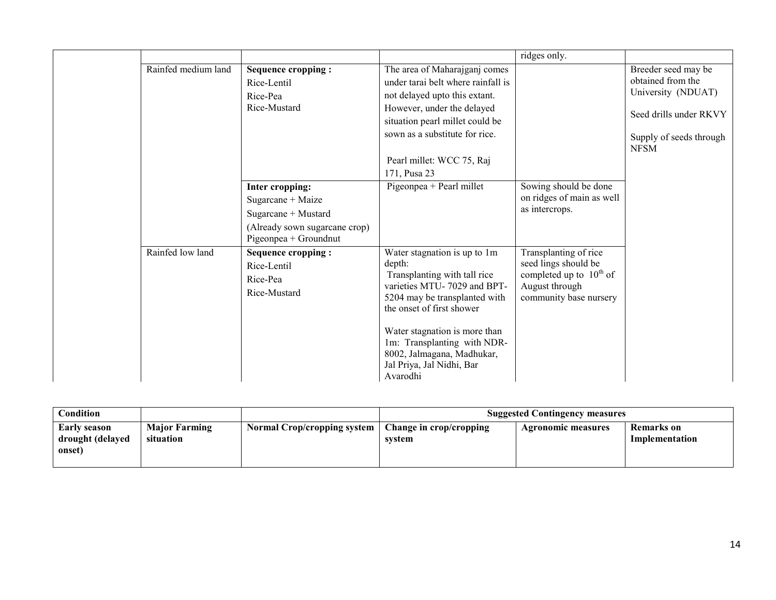|                     |                                                                                                                       |                                                                                                                                                                                                                                                                                                            | ridges only.                                                                                                              |                                                                                                                                    |
|---------------------|-----------------------------------------------------------------------------------------------------------------------|------------------------------------------------------------------------------------------------------------------------------------------------------------------------------------------------------------------------------------------------------------------------------------------------------------|---------------------------------------------------------------------------------------------------------------------------|------------------------------------------------------------------------------------------------------------------------------------|
| Rainfed medium land | Sequence cropping :<br>Rice-Lentil<br>Rice-Pea<br>Rice-Mustard                                                        | The area of Maharajganj comes<br>under tarai belt where rainfall is<br>not delayed upto this extant.<br>However, under the delayed<br>situation pearl millet could be<br>sown as a substitute for rice.<br>Pearl millet: WCC 75, Raj<br>171, Pusa 23                                                       |                                                                                                                           | Breeder seed may be<br>obtained from the<br>University (NDUAT)<br>Seed drills under RKVY<br>Supply of seeds through<br><b>NFSM</b> |
|                     | Inter cropping:<br>Sugarcane + Maize<br>Sugarcane + Mustard<br>(Already sown sugarcane crop)<br>Pigeonpea + Groundnut | Pigeonpea + Pearl millet                                                                                                                                                                                                                                                                                   | Sowing should be done<br>on ridges of main as well<br>as intercrops.                                                      |                                                                                                                                    |
| Rainfed low land    | <b>Sequence cropping:</b><br>Rice-Lentil<br>Rice-Pea<br>Rice-Mustard                                                  | Water stagnation is up to 1m<br>depth:<br>Transplanting with tall rice<br>varieties MTU-7029 and BPT-<br>5204 may be transplanted with<br>the onset of first shower<br>Water stagnation is more than<br>1m: Transplanting with NDR-<br>8002, Jalmagana, Madhukar,<br>Jal Priya, Jal Nidhi, Bar<br>Avarodhi | Transplanting of rice<br>seed lings should be<br>completed up to $10^{th}$ of<br>August through<br>community base nursery |                                                                                                                                    |

| $\complement$ ondition                     |                                   |                             | <b>Suggested Contingency measures</b> |                    |                              |
|--------------------------------------------|-----------------------------------|-----------------------------|---------------------------------------|--------------------|------------------------------|
| Early season<br>drought (delayed<br>onset) | <b>Major Farming</b><br>situation | Normal Crop/cropping system | Change in crop/cropping<br>system     | Agronomic measures | Remarks on<br>Implementation |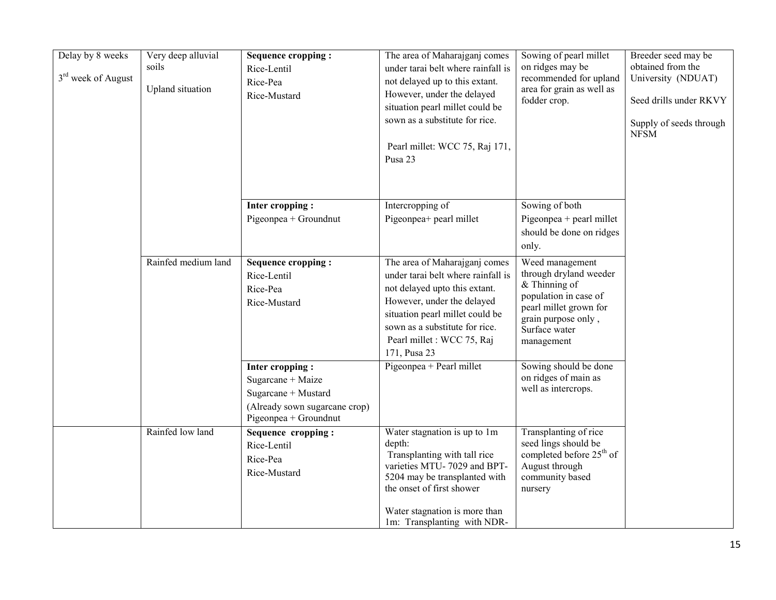| Delay by 8 weeks<br>3 <sup>rd</sup> week of August | Very deep alluvial<br>soils<br><b>Upland</b> situation | <b>Sequence cropping:</b><br>Rice-Lentil<br>Rice-Pea<br>Rice-Mustard                                                  | The area of Maharajganj comes<br>under tarai belt where rainfall is<br>not delayed up to this extant.<br>However, under the delayed<br>situation pearl millet could be<br>sown as a substitute for rice.                                              | Sowing of pearl millet<br>on ridges may be<br>recommended for upland<br>area for grain as well as<br>fodder crop.                                                     | Breeder seed may be<br>obtained from the<br>University (NDUAT)<br>Seed drills under RKVY<br>Supply of seeds through<br><b>NFSM</b> |
|----------------------------------------------------|--------------------------------------------------------|-----------------------------------------------------------------------------------------------------------------------|-------------------------------------------------------------------------------------------------------------------------------------------------------------------------------------------------------------------------------------------------------|-----------------------------------------------------------------------------------------------------------------------------------------------------------------------|------------------------------------------------------------------------------------------------------------------------------------|
|                                                    |                                                        |                                                                                                                       | Pearl millet: WCC 75, Raj 171,<br>Pusa 23                                                                                                                                                                                                             |                                                                                                                                                                       |                                                                                                                                    |
|                                                    |                                                        | Inter cropping:<br>Pigeonpea + Groundnut                                                                              | Intercropping of<br>Pigeonpea+ pearl millet                                                                                                                                                                                                           | Sowing of both<br>Pigeonpea + pearl millet<br>should be done on ridges<br>only.                                                                                       |                                                                                                                                    |
|                                                    | Rainfed medium land                                    | <b>Sequence cropping:</b><br>Rice-Lentil<br>Rice-Pea<br>Rice-Mustard                                                  | The area of Maharajganj comes<br>under tarai belt where rainfall is<br>not delayed upto this extant.<br>However, under the delayed<br>situation pearl millet could be<br>sown as a substitute for rice.<br>Pearl millet : WCC 75, Raj<br>171, Pusa 23 | Weed management<br>through dryland weeder<br>$&$ Thinning of<br>population in case of<br>pearl millet grown for<br>grain purpose only,<br>Surface water<br>management |                                                                                                                                    |
|                                                    |                                                        | Inter cropping:<br>Sugarcane + Maize<br>Sugarcane + Mustard<br>(Already sown sugarcane crop)<br>Pigeonpea + Groundnut | Pigeonpea + Pearl millet                                                                                                                                                                                                                              | Sowing should be done<br>on ridges of main as<br>well as intercrops.                                                                                                  |                                                                                                                                    |
|                                                    | Rainfed low land                                       | Sequence cropping:<br>Rice-Lentil<br>Rice-Pea<br>Rice-Mustard                                                         | Water stagnation is up to 1m<br>depth:<br>Transplanting with tall rice<br>varieties MTU-7029 and BPT-<br>5204 may be transplanted with<br>the onset of first shower<br>Water stagnation is more than<br>1m: Transplanting with NDR-                   | Transplanting of rice<br>seed lings should be<br>completed before 25 <sup>th</sup> of<br>August through<br>community based<br>nursery                                 |                                                                                                                                    |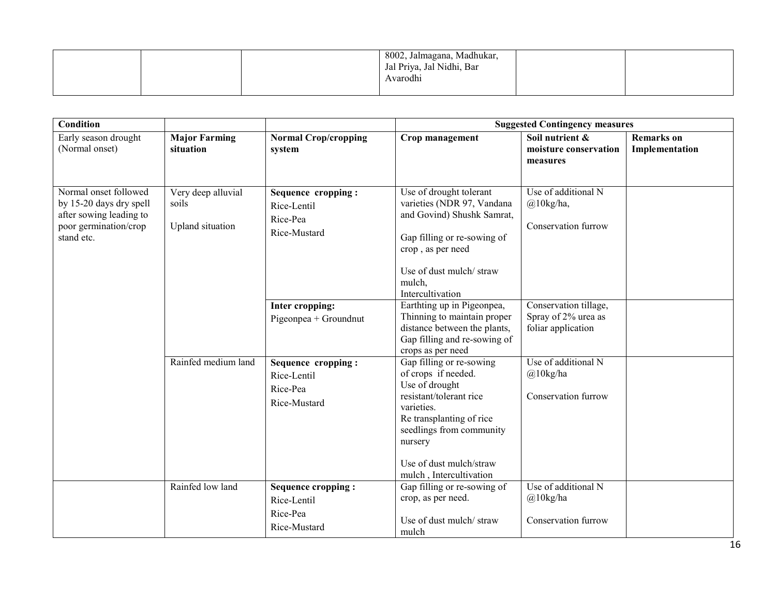|  | 8002, Jalmagana, Madhukar,<br>Jal Priya, Jal Nidhi, Bar<br>Avarodhi |  |
|--|---------------------------------------------------------------------|--|
|  |                                                                     |  |

| <b>Condition</b>                                                                                                   |                                                 |                                                               |                                                                                                                                                                                                                                     | <b>Suggested Contingency measures</b>                              |                                     |
|--------------------------------------------------------------------------------------------------------------------|-------------------------------------------------|---------------------------------------------------------------|-------------------------------------------------------------------------------------------------------------------------------------------------------------------------------------------------------------------------------------|--------------------------------------------------------------------|-------------------------------------|
| Early season drought<br>(Normal onset)                                                                             | <b>Major Farming</b><br>situation               | <b>Normal Crop/cropping</b><br>system                         | Crop management                                                                                                                                                                                                                     | Soil nutrient &<br>moisture conservation<br>measures               | <b>Remarks</b> on<br>Implementation |
| Normal onset followed<br>by 15-20 days dry spell<br>after sowing leading to<br>poor germination/crop<br>stand etc. | Very deep alluvial<br>soils<br>Upland situation | Sequence cropping:<br>Rice-Lentil<br>Rice-Pea<br>Rice-Mustard | Use of drought tolerant<br>varieties (NDR 97, Vandana<br>and Govind) Shushk Samrat,<br>Gap filling or re-sowing of<br>crop, as per need<br>Use of dust mulch/straw<br>mulch,<br>Intercultivation                                    | Use of additional N<br>@10kg/ha,<br>Conservation furrow            |                                     |
|                                                                                                                    |                                                 | Inter cropping:<br>Pigeonpea + Groundnut                      | Earthting up in Pigeonpea,<br>Thinning to maintain proper<br>distance between the plants,<br>Gap filling and re-sowing of<br>crops as per need                                                                                      | Conservation tillage,<br>Spray of 2% urea as<br>foliar application |                                     |
|                                                                                                                    | Rainfed medium land                             | Sequence cropping:<br>Rice-Lentil<br>Rice-Pea<br>Rice-Mustard | Gap filling or re-sowing<br>of crops if needed.<br>Use of drought<br>resistant/tolerant rice<br>varieties.<br>Re transplanting of rice<br>seedlings from community<br>nursery<br>Use of dust mulch/straw<br>mulch, Intercultivation | Use of additional N<br>$@10$ kg/ha<br>Conservation furrow          |                                     |
|                                                                                                                    | Rainfed low land                                | Sequence cropping:<br>Rice-Lentil<br>Rice-Pea<br>Rice-Mustard | Gap filling or re-sowing of<br>crop, as per need.<br>Use of dust mulch/straw<br>mulch                                                                                                                                               | Use of additional N<br>@10kg/ha<br>Conservation furrow             |                                     |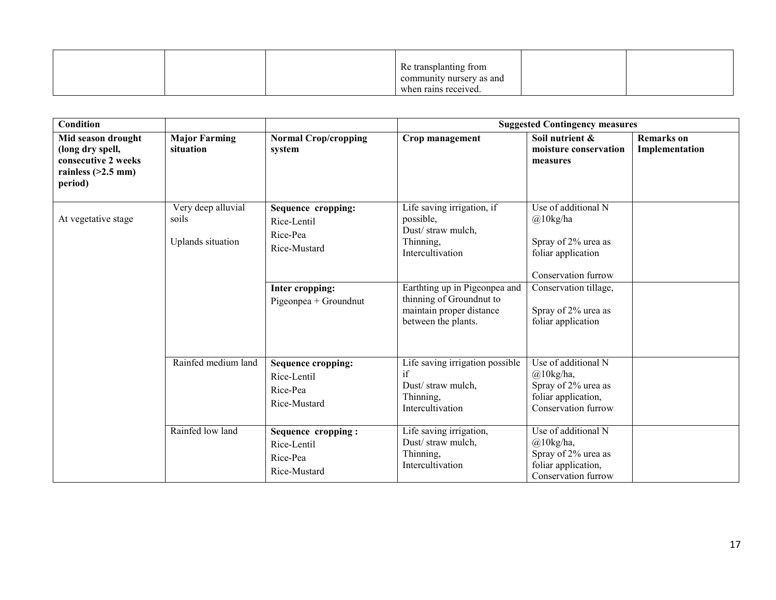|  | Re transplanting from    |  |
|--|--------------------------|--|
|  | community nursery as and |  |
|  | when rains received.     |  |

| <b>Condition</b><br><b>Suggested Contingency measures</b>                                        |                                                  |                                                                                                           |                                                                                                                                                                                                               |                                                                                                                                                                                   |                                     |
|--------------------------------------------------------------------------------------------------|--------------------------------------------------|-----------------------------------------------------------------------------------------------------------|---------------------------------------------------------------------------------------------------------------------------------------------------------------------------------------------------------------|-----------------------------------------------------------------------------------------------------------------------------------------------------------------------------------|-------------------------------------|
| Mid season drought<br>(long dry spell,<br>consecutive 2 weeks<br>rainless $(>2.5$ mm)<br>period) | <b>Major Farming</b><br>situation                | <b>Normal Crop/cropping</b><br>system                                                                     | Crop management                                                                                                                                                                                               | Soil nutrient &<br>moisture conservation<br>measures                                                                                                                              | <b>Remarks</b> on<br>Implementation |
| At vegetative stage                                                                              | Very deep alluvial<br>soils<br>Uplands situation | Sequence cropping:<br>Rice-Lentil<br>Rice-Pea<br>Rice-Mustard<br>Inter cropping:<br>Pigeonpea + Groundnut | Life saving irrigation, if<br>possible,<br>Dust/straw mulch,<br>Thinning,<br>Intercultivation<br>Earthting up in Pigeonpea and<br>thinning of Groundnut to<br>maintain proper distance<br>between the plants. | Use of additional N<br>$\omega$ 10kg/ha<br>Spray of 2% urea as<br>foliar application<br>Conservation furrow<br>Conservation tillage,<br>Spray of 2% urea as<br>foliar application |                                     |
|                                                                                                  | Rainfed medium land                              | <b>Sequence cropping:</b><br>Rice-Lentil<br>Rice-Pea<br>Rice-Mustard                                      | Life saving irrigation possible<br>if<br>Dust/straw mulch,<br>Thinning,<br>Intercultivation                                                                                                                   | Use of additional N<br>$(a)$ 10kg/ha,<br>Spray of 2% urea as<br>foliar application,<br>Conservation furrow                                                                        |                                     |
|                                                                                                  | Rainfed low land                                 | Sequence cropping:<br>Rice-Lentil<br>Rice-Pea<br>Rice-Mustard                                             | Life saving irrigation,<br>Dust/straw mulch,<br>Thinning,<br>Intercultivation                                                                                                                                 | Use of additional N<br>$(a)$ 10kg/ha,<br>Spray of 2% urea as<br>foliar application,<br>Conservation furrow                                                                        |                                     |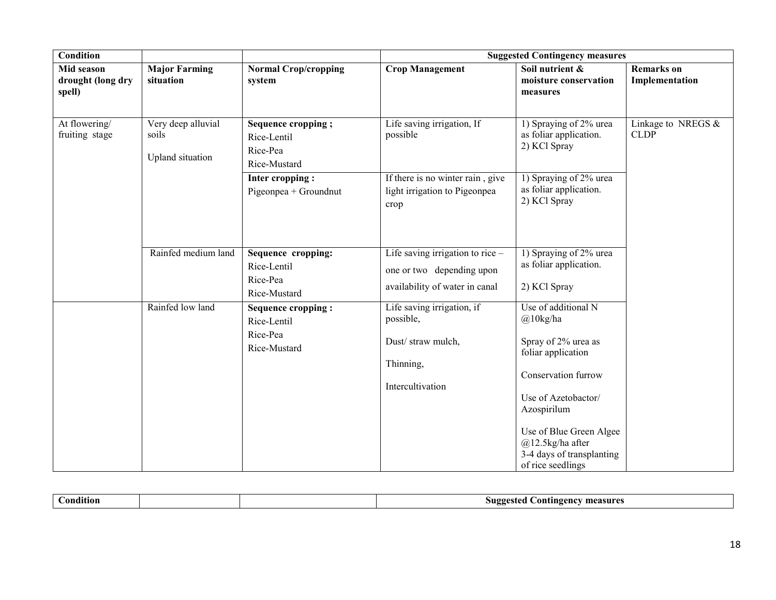| <b>Condition</b>                          |                                                 |                                                               | <b>Suggested Contingency measures</b>                                                             |                                                                                                                                                                                                                                                  |                                     |  |
|-------------------------------------------|-------------------------------------------------|---------------------------------------------------------------|---------------------------------------------------------------------------------------------------|--------------------------------------------------------------------------------------------------------------------------------------------------------------------------------------------------------------------------------------------------|-------------------------------------|--|
| Mid season<br>drought (long dry<br>spell) | <b>Major Farming</b><br>situation               | <b>Normal Crop/cropping</b><br>system                         | <b>Crop Management</b>                                                                            | Soil nutrient &<br>moisture conservation<br>measures                                                                                                                                                                                             | <b>Remarks</b> on<br>Implementation |  |
| At flowering/<br>fruiting stage           | Very deep alluvial<br>soils<br>Upland situation | Sequence cropping;<br>Rice-Lentil<br>Rice-Pea<br>Rice-Mustard | Life saving irrigation, If<br>possible                                                            | 1) Spraying of 2% urea<br>as foliar application.<br>2) KCl Spray                                                                                                                                                                                 | Linkage to NREGS $&$<br><b>CLDP</b> |  |
|                                           |                                                 | Inter cropping:<br>Pigeonpea + Groundnut                      | If there is no winter rain, give<br>light irrigation to Pigeonpea<br>crop                         | 1) Spraying of 2% urea<br>as foliar application.<br>2) KCl Spray                                                                                                                                                                                 |                                     |  |
|                                           | Rainfed medium land                             | Sequence cropping:<br>Rice-Lentil<br>Rice-Pea<br>Rice-Mustard | Life saving irrigation to rice $-$<br>one or two depending upon<br>availability of water in canal | 1) Spraying of 2% urea<br>as foliar application.<br>2) KCl Spray                                                                                                                                                                                 |                                     |  |
|                                           | Rainfed low land                                | Sequence cropping:<br>Rice-Lentil<br>Rice-Pea<br>Rice-Mustard | Life saving irrigation, if<br>possible,<br>Dust/ straw mulch,<br>Thinning,<br>Intercultivation    | Use of additional N<br>$@10$ kg/ha<br>Spray of 2% urea as<br>foliar application<br>Conservation furrow<br>Use of Azetobactor/<br>Azospirilum<br>Use of Blue Green Algee<br>$@12.5$ kg/ha after<br>3-4 days of transplanting<br>of rice seedlings |                                     |  |

| ondition |  | measure<br>. .ontingency<br>$\mathbf{MDP}^{\alpha}$<br>$.$ ra $\bm{r}$<br>-- |
|----------|--|------------------------------------------------------------------------------|
|          |  |                                                                              |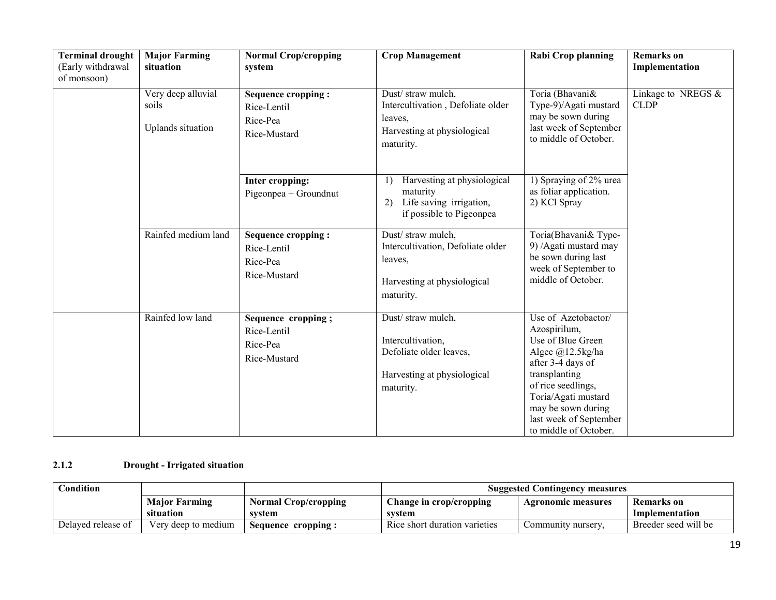| <b>Terminal drought</b><br>(Early withdrawal<br>of monsoon) | <b>Major Farming</b><br>situation                | <b>Normal Crop/cropping</b><br>system                         | <b>Crop Management</b>                                                                                         | <b>Rabi Crop planning</b>                                                                                                                                                                                                                | <b>Remarks</b> on<br>Implementation |
|-------------------------------------------------------------|--------------------------------------------------|---------------------------------------------------------------|----------------------------------------------------------------------------------------------------------------|------------------------------------------------------------------------------------------------------------------------------------------------------------------------------------------------------------------------------------------|-------------------------------------|
|                                                             | Very deep alluvial<br>soils<br>Uplands situation | Sequence cropping:<br>Rice-Lentil<br>Rice-Pea<br>Rice-Mustard | Dust/ straw mulch,<br>Intercultivation, Defoliate older<br>leaves,<br>Harvesting at physiological<br>maturity. | Toria (Bhavani&<br>Type-9)/Agati mustard<br>may be sown during<br>last week of September<br>to middle of October.                                                                                                                        | Linkage to NREGS $&$<br><b>CLDP</b> |
|                                                             |                                                  | Inter cropping:<br>Pigeonpea + Groundnut                      | Harvesting at physiological<br>1)<br>maturity<br>Life saving irrigation,<br>2)<br>if possible to Pigeonpea     | 1) Spraying of 2% urea<br>as foliar application.<br>2) KCl Spray                                                                                                                                                                         |                                     |
|                                                             | Rainfed medium land                              | Sequence cropping:<br>Rice-Lentil<br>Rice-Pea<br>Rice-Mustard | Dust/ straw mulch,<br>Intercultivation, Defoliate older<br>leaves,<br>Harvesting at physiological<br>maturity. | Toria(Bhavani& Type-<br>9) /Agati mustard may<br>be sown during last<br>week of September to<br>middle of October.                                                                                                                       |                                     |
|                                                             | Rainfed low land                                 | Sequence cropping;<br>Rice-Lentil<br>Rice-Pea<br>Rice-Mustard | Dust/ straw mulch,<br>Intercultivation,<br>Defoliate older leaves,<br>Harvesting at physiological<br>maturity. | Use of Azetobactor/<br>Azospirilum,<br>Use of Blue Green<br>Algee @12.5kg/ha<br>after 3-4 days of<br>transplanting<br>of rice seedlings,<br>Toria/Agati mustard<br>may be sown during<br>last week of September<br>to middle of October. |                                     |

#### 2.1.2 Drought - Irrigated situation

| $\complement$ ondition $\char`$ |                      |                             | <b>Suggested Contingency measures</b> |                    |                      |  |
|---------------------------------|----------------------|-----------------------------|---------------------------------------|--------------------|----------------------|--|
|                                 | <b>Major Farming</b> | <b>Normal Crop/cropping</b> | Change in crop/cropping               | Agronomic measures | <b>Remarks</b> on    |  |
|                                 | situation            | svstem                      | system                                |                    | Implementation       |  |
| Delayed release of              | Very deep to medium  | Sequence cropping:          | Rice short duration varieties         | Community nursery. | Breeder seed will be |  |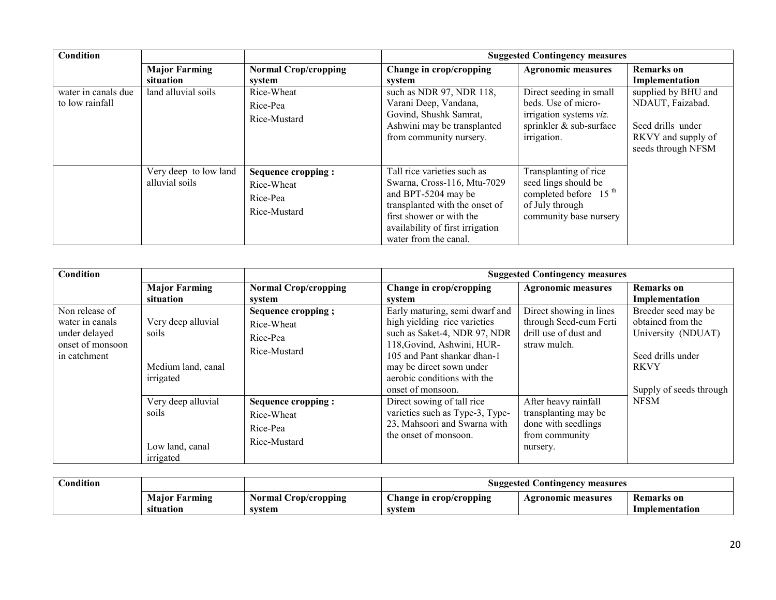| Condition                              |                                         |                                                                     |                                                                                                                                                                                                              | <b>Suggested Contingency measures</b>                                                                                           |                                                                                                          |
|----------------------------------------|-----------------------------------------|---------------------------------------------------------------------|--------------------------------------------------------------------------------------------------------------------------------------------------------------------------------------------------------------|---------------------------------------------------------------------------------------------------------------------------------|----------------------------------------------------------------------------------------------------------|
|                                        | <b>Major Farming</b><br>situation       | <b>Normal Crop/cropping</b><br>system                               | Change in crop/cropping<br>system                                                                                                                                                                            | <b>Agronomic measures</b>                                                                                                       | <b>Remarks</b> on<br>Implementation                                                                      |
| water in canals due<br>to low rainfall | land alluvial soils                     | Rice-Wheat<br>Rice-Pea<br>Rice-Mustard                              | such as NDR 97, NDR 118,<br>Varani Deep, Vandana,<br>Govind, Shushk Samrat,<br>Ashwini may be transplanted<br>from community nursery.                                                                        | Direct seeding in small<br>beds. Use of micro-<br>irrigation systems <i>viz</i> .<br>sprinkler & sub-surface<br>irrigation.     | supplied by BHU and<br>NDAUT, Faizabad.<br>Seed drills under<br>RKVY and supply of<br>seeds through NFSM |
|                                        | Very deep to low land<br>alluvial soils | <b>Sequence cropping:</b><br>Rice-Wheat<br>Rice-Pea<br>Rice-Mustard | Tall rice varieties such as<br>Swarna, Cross-116, Mtu-7029<br>and BPT-5204 may be<br>transplanted with the onset of<br>first shower or with the<br>availability of first irrigation<br>water from the canal. | Transplanting of rice<br>seed lings should be<br>completed before 15 <sup>th</sup><br>of July through<br>community base nursery |                                                                                                          |

| <b>Condition</b>                                                                       |                                                                |                                                                     |                                                                                                                                                                                                                                             | <b>Suggested Contingency measures</b>                                                             |                                                                                                                               |
|----------------------------------------------------------------------------------------|----------------------------------------------------------------|---------------------------------------------------------------------|---------------------------------------------------------------------------------------------------------------------------------------------------------------------------------------------------------------------------------------------|---------------------------------------------------------------------------------------------------|-------------------------------------------------------------------------------------------------------------------------------|
|                                                                                        | <b>Major Farming</b><br>situation                              | <b>Normal Crop/cropping</b><br>system                               | Change in crop/cropping<br>system                                                                                                                                                                                                           | <b>Agronomic measures</b>                                                                         | <b>Remarks</b> on<br>Implementation                                                                                           |
| Non release of<br>water in canals<br>under delayed<br>onset of monsoon<br>in catchment | Very deep alluvial<br>soils<br>Medium land, canal<br>irrigated | Sequence cropping;<br>Rice-Wheat<br>Rice-Pea<br>Rice-Mustard        | Early maturing, semi dwarf and<br>high yielding rice varieties<br>such as Saket-4, NDR 97, NDR<br>118, Govind, Ashwini, HUR-<br>105 and Pant shankar dhan-1<br>may be direct sown under<br>aerobic conditions with the<br>onset of monsoon. | Direct showing in lines<br>through Seed-cum Ferti<br>drill use of dust and<br>straw mulch.        | Breeder seed may be<br>obtained from the<br>University (NDUAT)<br>Seed drills under<br><b>RKVY</b><br>Supply of seeds through |
|                                                                                        | Very deep alluvial<br>soils<br>Low land, canal<br>irrigated    | <b>Sequence cropping:</b><br>Rice-Wheat<br>Rice-Pea<br>Rice-Mustard | Direct sowing of tall rice<br>varieties such as Type-3, Type-<br>23, Mahsoori and Swarna with<br>the onset of monsoon.                                                                                                                      | After heavy rainfall<br>transplanting may be<br>done with seedlings<br>from community<br>nursery. | <b>NFSM</b>                                                                                                                   |

| <b>Condition</b> |                   |                           | <b>Suggested Contingency</b><br>measures |                           |                   |
|------------------|-------------------|---------------------------|------------------------------------------|---------------------------|-------------------|
|                  | Maior.<br>Farming | Crop/cropping<br>Normal C | $\sim$<br>Change in crop/cropping        | <b>Agronomic measures</b> | <b>Remarks</b> on |
|                  | situation         | svstem                    | svstem                                   |                           | Implementation    |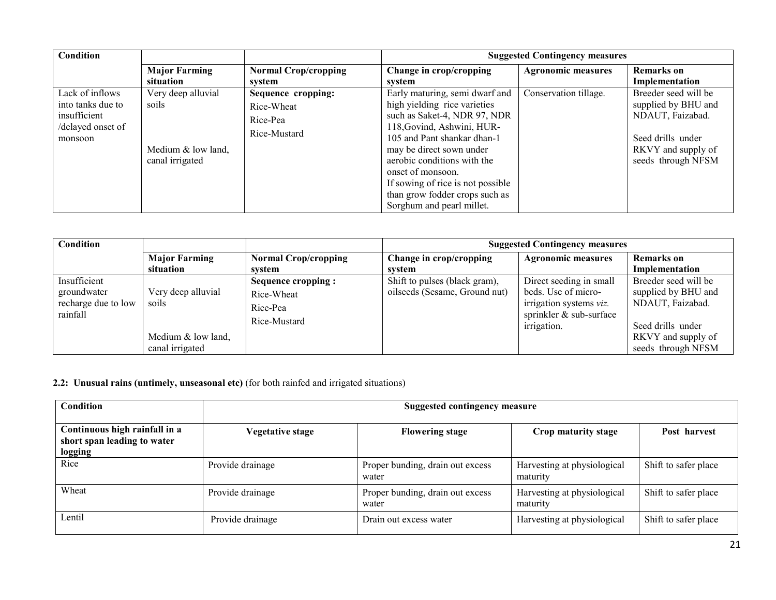| Condition                                                                            |                                                                      |                                                              | <b>Suggested Contingency measures</b>                                                                                                                                                                                                                                                                              |                           |                                                                                                                                  |
|--------------------------------------------------------------------------------------|----------------------------------------------------------------------|--------------------------------------------------------------|--------------------------------------------------------------------------------------------------------------------------------------------------------------------------------------------------------------------------------------------------------------------------------------------------------------------|---------------------------|----------------------------------------------------------------------------------------------------------------------------------|
|                                                                                      | <b>Major Farming</b>                                                 | <b>Normal Crop/cropping</b>                                  | Change in crop/cropping                                                                                                                                                                                                                                                                                            | <b>Agronomic measures</b> | <b>Remarks</b> on                                                                                                                |
|                                                                                      | situation                                                            | system                                                       | svstem                                                                                                                                                                                                                                                                                                             |                           | Implementation                                                                                                                   |
| Lack of inflows<br>into tanks due to<br>insufficient<br>/delayed onset of<br>monsoon | Very deep alluvial<br>soils<br>Medium & low land,<br>canal irrigated | Sequence cropping:<br>Rice-Wheat<br>Rice-Pea<br>Rice-Mustard | Early maturing, semi dwarf and<br>high yielding rice varieties<br>such as Saket-4, NDR 97, NDR<br>118, Govind, Ashwini, HUR-<br>105 and Pant shankar dhan-1<br>may be direct sown under<br>aerobic conditions with the<br>onset of monsoon.<br>If sowing of rice is not possible<br>than grow fodder crops such as | Conservation tillage.     | Breeder seed will be<br>supplied by BHU and<br>NDAUT, Faizabad.<br>Seed drills under<br>RKVY and supply of<br>seeds through NFSM |
|                                                                                      |                                                                      |                                                              | Sorghum and pearl millet.                                                                                                                                                                                                                                                                                          |                           |                                                                                                                                  |

| Condition                                                      |                                                                        |                                                              | <b>Suggested Contingency measures</b>                          |                                                                                                                     |                                                                                                                                  |
|----------------------------------------------------------------|------------------------------------------------------------------------|--------------------------------------------------------------|----------------------------------------------------------------|---------------------------------------------------------------------------------------------------------------------|----------------------------------------------------------------------------------------------------------------------------------|
|                                                                | <b>Major Farming</b>                                                   | <b>Normal Crop/cropping</b>                                  | Change in crop/cropping                                        | <b>Agronomic measures</b>                                                                                           | <b>Remarks</b> on                                                                                                                |
|                                                                | situation                                                              | system                                                       | svstem                                                         |                                                                                                                     | Implementation                                                                                                                   |
| Insufficient<br>groundwater<br>recharge due to low<br>rainfall | Very deep alluvial<br>soils<br>Medium $&$ low land,<br>canal irrigated | Sequence cropping:<br>Rice-Wheat<br>Rice-Pea<br>Rice-Mustard | Shift to pulses (black gram),<br>oilseeds (Sesame, Ground nut) | Direct seeding in small<br>beds. Use of micro-<br>irrigation systems viz.<br>sprinkler & sub-surface<br>irrigation. | Breeder seed will be<br>supplied by BHU and<br>NDAUT, Faizabad.<br>Seed drills under<br>RKVY and supply of<br>seeds through NFSM |

#### 2.2: Unusual rains (untimely, unseasonal etc) (for both rainfed and irrigated situations)

| <b>Condition</b>                                                        | Suggested contingency measure |                                           |                                         |                      |  |  |
|-------------------------------------------------------------------------|-------------------------------|-------------------------------------------|-----------------------------------------|----------------------|--|--|
| Continuous high rainfall in a<br>short span leading to water<br>logging | <b>Vegetative stage</b>       | <b>Flowering stage</b>                    | Crop maturity stage                     | Post harvest         |  |  |
| Rice                                                                    | Provide drainage              | Proper bunding, drain out excess<br>water | Harvesting at physiological<br>maturity | Shift to safer place |  |  |
| Wheat                                                                   | Provide drainage              | Proper bunding, drain out excess<br>water | Harvesting at physiological<br>maturity | Shift to safer place |  |  |
| Lentil                                                                  | Provide drainage              | Drain out excess water                    | Harvesting at physiological             | Shift to safer place |  |  |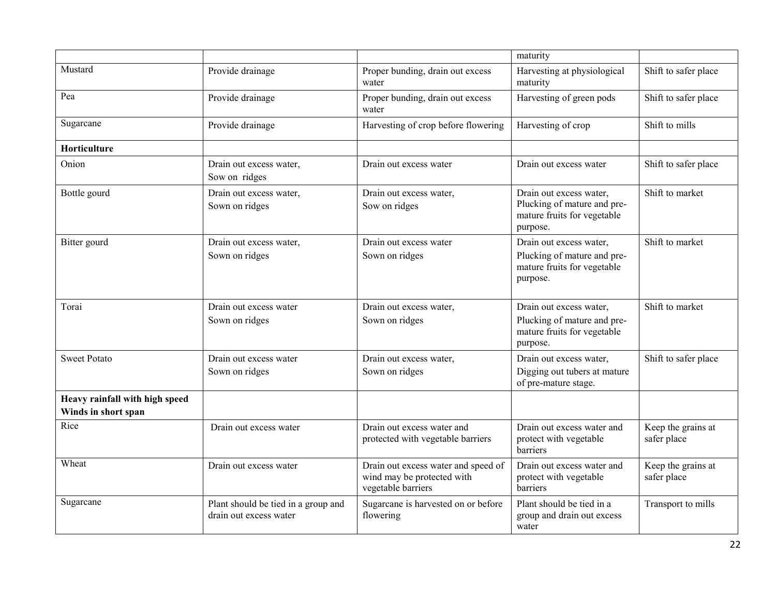|                                                       |                                                               |                                                                                         | maturity                                                                                          |                                   |
|-------------------------------------------------------|---------------------------------------------------------------|-----------------------------------------------------------------------------------------|---------------------------------------------------------------------------------------------------|-----------------------------------|
| Mustard                                               | Provide drainage                                              | Proper bunding, drain out excess<br>water                                               | Harvesting at physiological<br>maturity                                                           | Shift to safer place              |
| Pea                                                   | Provide drainage                                              | Proper bunding, drain out excess<br>water                                               | Harvesting of green pods                                                                          | Shift to safer place              |
| Sugarcane                                             | Provide drainage                                              | Harvesting of crop before flowering                                                     | Harvesting of crop                                                                                | Shift to mills                    |
| Horticulture                                          |                                                               |                                                                                         |                                                                                                   |                                   |
| Onion                                                 | Drain out excess water,<br>Sow on ridges                      | Drain out excess water                                                                  | Drain out excess water                                                                            | Shift to safer place              |
| Bottle gourd                                          | Drain out excess water,<br>Sown on ridges                     | Drain out excess water,<br>Sow on ridges                                                | Drain out excess water,<br>Plucking of mature and pre-<br>mature fruits for vegetable<br>purpose. | Shift to market                   |
| Bitter gourd                                          | Drain out excess water,<br>Sown on ridges                     | Drain out excess water<br>Sown on ridges                                                | Drain out excess water,<br>Plucking of mature and pre-<br>mature fruits for vegetable<br>purpose. | Shift to market                   |
| Torai                                                 | Drain out excess water<br>Sown on ridges                      | Drain out excess water,<br>Sown on ridges                                               | Drain out excess water,<br>Plucking of mature and pre-<br>mature fruits for vegetable<br>purpose. | Shift to market                   |
| <b>Sweet Potato</b>                                   | Drain out excess water<br>Sown on ridges                      | Drain out excess water,<br>Sown on ridges                                               | Drain out excess water,<br>Digging out tubers at mature<br>of pre-mature stage.                   | Shift to safer place              |
| Heavy rainfall with high speed<br>Winds in short span |                                                               |                                                                                         |                                                                                                   |                                   |
| Rice                                                  | Drain out excess water                                        | Drain out excess water and<br>protected with vegetable barriers                         | Drain out excess water and<br>protect with vegetable<br>barriers                                  | Keep the grains at<br>safer place |
| Wheat                                                 | Drain out excess water                                        | Drain out excess water and speed of<br>wind may be protected with<br>vegetable barriers | Drain out excess water and<br>protect with vegetable<br>barriers                                  | Keep the grains at<br>safer place |
| Sugarcane                                             | Plant should be tied in a group and<br>drain out excess water | Sugarcane is harvested on or before<br>flowering                                        | Plant should be tied in a<br>group and drain out excess<br>water                                  | Transport to mills                |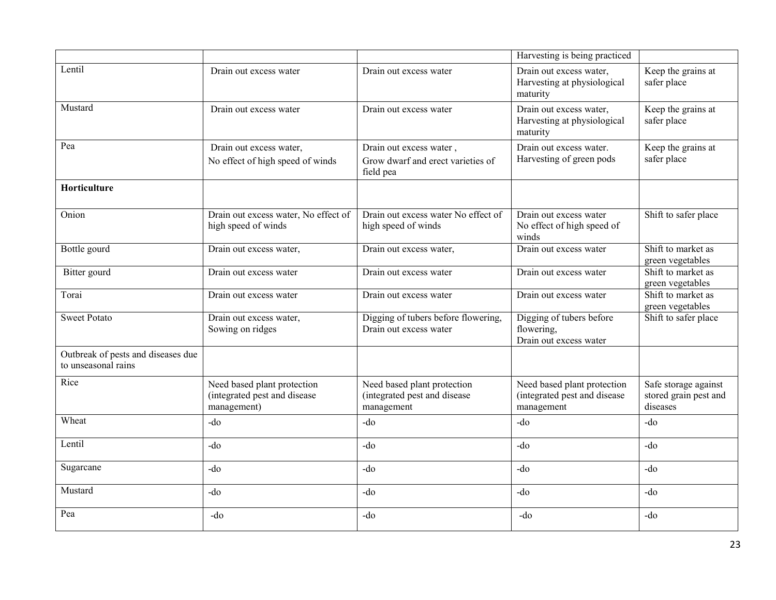|                                                           |                                                                            |                                                                           | Harvesting is being practiced                                             |                                                           |
|-----------------------------------------------------------|----------------------------------------------------------------------------|---------------------------------------------------------------------------|---------------------------------------------------------------------------|-----------------------------------------------------------|
| Lentil                                                    | Drain out excess water                                                     | Drain out excess water                                                    | Drain out excess water,<br>Harvesting at physiological<br>maturity        | Keep the grains at<br>safer place                         |
| Mustard                                                   | Drain out excess water                                                     | Drain out excess water                                                    | Drain out excess water,<br>Harvesting at physiological<br>maturity        | Keep the grains at<br>safer place                         |
| Pea                                                       | Drain out excess water,<br>No effect of high speed of winds                | Drain out excess water,<br>Grow dwarf and erect varieties of<br>field pea | Drain out excess water.<br>Harvesting of green pods                       | Keep the grains at<br>safer place                         |
| Horticulture                                              |                                                                            |                                                                           |                                                                           |                                                           |
| Onion                                                     | Drain out excess water, No effect of<br>high speed of winds                | Drain out excess water No effect of<br>high speed of winds                | Drain out excess water<br>No effect of high speed of<br>winds             | Shift to safer place                                      |
| Bottle gourd                                              | Drain out excess water,                                                    | Drain out excess water,                                                   | Drain out excess water                                                    | Shift to market as<br>green vegetables                    |
| Bitter gourd                                              | Drain out excess water                                                     | Drain out excess water                                                    | Drain out excess water                                                    | Shift to market as<br>green vegetables                    |
| Torai                                                     | Drain out excess water                                                     | Drain out excess water                                                    | Drain out excess water                                                    | Shift to market as<br>green vegetables                    |
| <b>Sweet Potato</b>                                       | Drain out excess water,<br>Sowing on ridges                                | Digging of tubers before flowering,<br>Drain out excess water             | Digging of tubers before<br>flowering.<br>Drain out excess water          | Shift to safer place                                      |
| Outbreak of pests and diseases due<br>to unseasonal rains |                                                                            |                                                                           |                                                                           |                                                           |
| Rice                                                      | Need based plant protection<br>(integrated pest and disease<br>management) | Need based plant protection<br>(integrated pest and disease<br>management | Need based plant protection<br>(integrated pest and disease<br>management | Safe storage against<br>stored grain pest and<br>diseases |
| Wheat                                                     | -do                                                                        | -do                                                                       | $-do$                                                                     | $-do$                                                     |
| Lentil                                                    | -do                                                                        | $-do$                                                                     | $-do$                                                                     | $-do$                                                     |
| Sugarcane                                                 | $-do$                                                                      | $-do$                                                                     | $-do$                                                                     | $-do$                                                     |
| Mustard                                                   | $-do$                                                                      | $-do$                                                                     | -do                                                                       | $-do$                                                     |
| Pea                                                       | -do                                                                        | -do                                                                       | -do                                                                       | -do                                                       |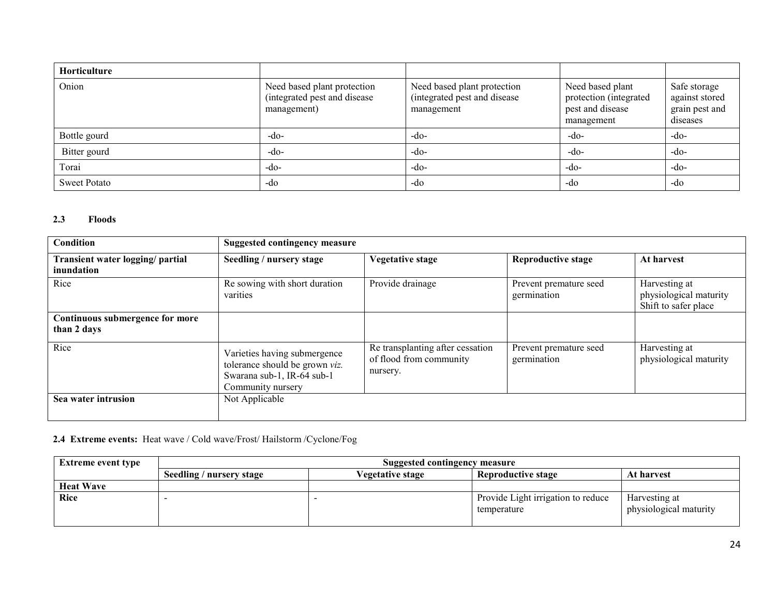| Horticulture        |                                                                            |                                                                           |                                                                              |                                                              |
|---------------------|----------------------------------------------------------------------------|---------------------------------------------------------------------------|------------------------------------------------------------------------------|--------------------------------------------------------------|
| Onion               | Need based plant protection<br>(integrated pest and disease<br>management) | Need based plant protection<br>(integrated pest and disease<br>management | Need based plant<br>protection (integrated<br>pest and disease<br>management | Safe storage<br>against stored<br>grain pest and<br>diseases |
| Bottle gourd        | $-do-$                                                                     | $-do-$                                                                    | $-do-$                                                                       | $-do-$                                                       |
| Bitter gourd        | $-do-$                                                                     | $-do-$                                                                    | $-do-$                                                                       | $-do-$                                                       |
| Torai               | $-do-$                                                                     | $-do-$                                                                    | $-do-$                                                                       | $-do-$                                                       |
| <b>Sweet Potato</b> | -do                                                                        | -do                                                                       | -do                                                                          | -do                                                          |

#### 2.3 Floods

| Condition                                      | <b>Suggested contingency measure</b>                                                                              |                                                                         |                                       |                                                                 |  |
|------------------------------------------------|-------------------------------------------------------------------------------------------------------------------|-------------------------------------------------------------------------|---------------------------------------|-----------------------------------------------------------------|--|
| Transient water logging/ partial<br>inundation | Seedling / nursery stage                                                                                          | <b>Vegetative stage</b>                                                 | <b>Reproductive stage</b>             | At harvest                                                      |  |
| Rice                                           | Re sowing with short duration<br>varities                                                                         | Provide drainage                                                        | Prevent premature seed<br>germination | Harvesting at<br>physiological maturity<br>Shift to safer place |  |
| Continuous submergence for more<br>than 2 days |                                                                                                                   |                                                                         |                                       |                                                                 |  |
| Rice                                           | Varieties having submergence<br>tolerance should be grown viz.<br>Swarana sub-1, IR-64 sub-1<br>Community nursery | Re transplanting after cessation<br>of flood from community<br>nursery. | Prevent premature seed<br>germination | Harvesting at<br>physiological maturity                         |  |
| Sea water intrusion                            | Not Applicable                                                                                                    |                                                                         |                                       |                                                                 |  |

### 2.4 Extreme events: Heat wave / Cold wave/Frost/ Hailstorm /Cyclone/Fog

| <b>Extreme event type</b> | Suggested contingency measure |                  |                                                   |                                         |  |
|---------------------------|-------------------------------|------------------|---------------------------------------------------|-----------------------------------------|--|
|                           | Seedling / nursery stage      | Vegetative stage | <b>Reproductive stage</b>                         | At harvest                              |  |
| <b>Heat Wave</b>          |                               |                  |                                                   |                                         |  |
| Rice                      |                               |                  | Provide Light irrigation to reduce<br>temperature | Harvesting at<br>physiological maturity |  |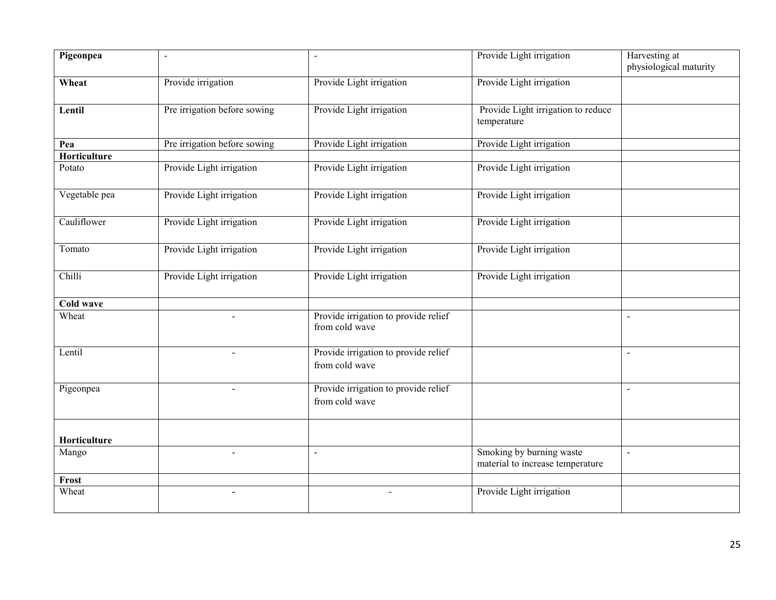| Pigeonpea        | $\blacksquare$               | $\sim$                                                 | Provide Light irrigation                                     | Harvesting at<br>physiological maturity |
|------------------|------------------------------|--------------------------------------------------------|--------------------------------------------------------------|-----------------------------------------|
| Wheat            | Provide irrigation           | Provide Light irrigation                               | Provide Light irrigation                                     |                                         |
| Lentil           | Pre irrigation before sowing | Provide Light irrigation                               | Provide Light irrigation to reduce<br>temperature            |                                         |
| Pea              | Pre irrigation before sowing | Provide Light irrigation                               | Provide Light irrigation                                     |                                         |
| Horticulture     |                              |                                                        |                                                              |                                         |
| Potato           | Provide Light irrigation     | Provide Light irrigation                               | Provide Light irrigation                                     |                                         |
| Vegetable pea    | Provide Light irrigation     | Provide Light irrigation                               | Provide Light irrigation                                     |                                         |
| Cauliflower      | Provide Light irrigation     | Provide Light irrigation                               | Provide Light irrigation                                     |                                         |
| Tomato           | Provide Light irrigation     | Provide Light irrigation                               | Provide Light irrigation                                     |                                         |
| Chilli           | Provide Light irrigation     | Provide Light irrigation                               | Provide Light irrigation                                     |                                         |
| <b>Cold wave</b> |                              |                                                        |                                                              |                                         |
| Wheat            |                              | Provide irrigation to provide relief<br>from cold wave |                                                              | $\sim$                                  |
| Lentil           |                              | Provide irrigation to provide relief<br>from cold wave |                                                              | $\blacksquare$                          |
| Pigeonpea        |                              | Provide irrigation to provide relief<br>from cold wave |                                                              |                                         |
| Horticulture     |                              |                                                        |                                                              |                                         |
| Mango            |                              | $\sim$                                                 | Smoking by burning waste<br>material to increase temperature | $\blacksquare$                          |
| Frost            |                              |                                                        |                                                              |                                         |
| Wheat            | $\blacksquare$               | $\blacksquare$                                         | Provide Light irrigation                                     |                                         |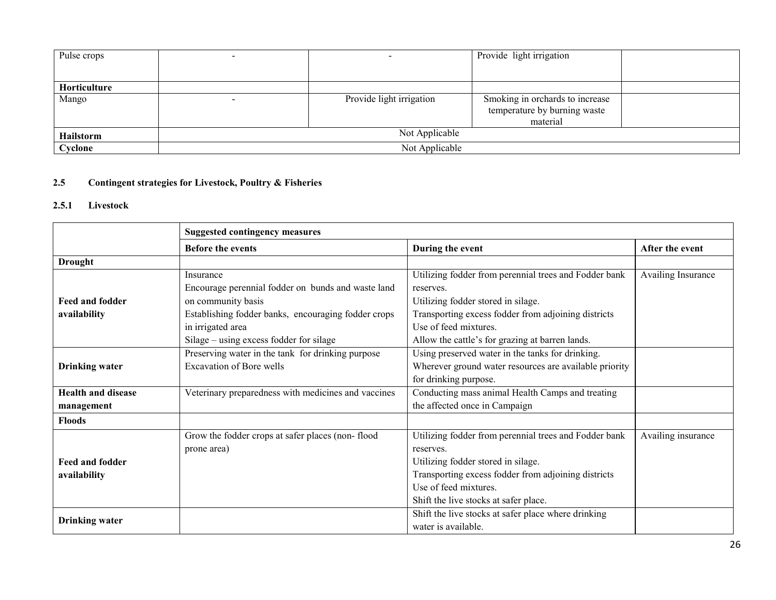| Pulse crops      |                |                          | Provide light irrigation        |  |  |
|------------------|----------------|--------------------------|---------------------------------|--|--|
|                  |                |                          |                                 |  |  |
| Horticulture     |                |                          |                                 |  |  |
| Mango            |                | Provide light irrigation | Smoking in orchards to increase |  |  |
|                  |                |                          | temperature by burning waste    |  |  |
|                  |                |                          | material                        |  |  |
| <b>Hailstorm</b> | Not Applicable |                          |                                 |  |  |
| Cyclone          | Not Applicable |                          |                                 |  |  |

#### 2.5 Contingent strategies for Livestock, Poultry & Fisheries

#### 2.5.1 Livestock

|                           | <b>Suggested contingency measures</b>               |                                                        |                    |  |
|---------------------------|-----------------------------------------------------|--------------------------------------------------------|--------------------|--|
|                           | <b>Before the events</b>                            | During the event                                       | After the event    |  |
| <b>Drought</b>            |                                                     |                                                        |                    |  |
|                           | Insurance                                           | Utilizing fodder from perennial trees and Fodder bank  | Availing Insurance |  |
|                           | Encourage perennial fodder on bunds and waste land  | reserves.                                              |                    |  |
| <b>Feed and fodder</b>    | on community basis                                  | Utilizing fodder stored in silage.                     |                    |  |
| availability              | Establishing fodder banks, encouraging fodder crops | Transporting excess fodder from adjoining districts    |                    |  |
|                           | in irrigated area                                   | Use of feed mixtures.                                  |                    |  |
|                           | Silage – using excess fodder for silage             | Allow the cattle's for grazing at barren lands.        |                    |  |
|                           | Preserving water in the tank for drinking purpose   | Using preserved water in the tanks for drinking.       |                    |  |
| <b>Drinking</b> water     | Excavation of Bore wells                            | Wherever ground water resources are available priority |                    |  |
|                           |                                                     | for drinking purpose.                                  |                    |  |
| <b>Health and disease</b> | Veterinary preparedness with medicines and vaccines | Conducting mass animal Health Camps and treating       |                    |  |
| management                |                                                     | the affected once in Campaign                          |                    |  |
| <b>Floods</b>             |                                                     |                                                        |                    |  |
|                           | Grow the fodder crops at safer places (non-flood    | Utilizing fodder from perennial trees and Fodder bank  | Availing insurance |  |
|                           | prone area)                                         | reserves.                                              |                    |  |
| <b>Feed and fodder</b>    |                                                     | Utilizing fodder stored in silage.                     |                    |  |
| availability              |                                                     | Transporting excess fodder from adjoining districts    |                    |  |
|                           |                                                     | Use of feed mixtures.                                  |                    |  |
|                           |                                                     | Shift the live stocks at safer place.                  |                    |  |
| <b>Drinking</b> water     |                                                     | Shift the live stocks at safer place where drinking    |                    |  |
|                           |                                                     | water is available.                                    |                    |  |